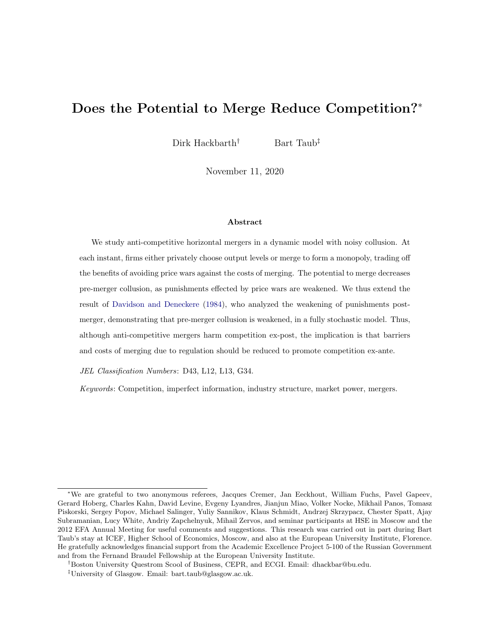# Does the Potential to Merge Reduce Competition?<sup>∗</sup>

Dirk Hackbarth<sup>†</sup> Bart Taub<sup>‡</sup>

November 11, 2020

#### Abstract

We study anti-competitive horizontal mergers in a dynamic model with noisy collusion. At each instant, firms either privately choose output levels or merge to form a monopoly, trading off the benefits of avoiding price wars against the costs of merging. The potential to merge decreases pre-merger collusion, as punishments effected by price wars are weakened. We thus extend the result of [Davidson and Deneckere](#page-30-0) [\(1984\)](#page-30-0), who analyzed the weakening of punishments postmerger, demonstrating that pre-merger collusion is weakened, in a fully stochastic model. Thus, although anti-competitive mergers harm competition ex-post, the implication is that barriers and costs of merging due to regulation should be reduced to promote competition ex-ante.

JEL Classification Numbers: D43, L12, L13, G34.

Keywords: Competition, imperfect information, industry structure, market power, mergers.

<sup>∗</sup>We are grateful to two anonymous referees, Jacques Cremer, Jan Eeckhout, William Fuchs, Pavel Gapeev, Gerard Hoberg, Charles Kahn, David Levine, Evgeny Lyandres, Jianjun Miao, Volker Nocke, Mikhail Panos, Tomasz Piskorski, Sergey Popov, Michael Salinger, Yuliy Sannikov, Klaus Schmidt, Andrzej Skrzypacz, Chester Spatt, Ajay Subramanian, Lucy White, Andriy Zapchelnyuk, Mihail Zervos, and seminar participants at HSE in Moscow and the 2012 EFA Annual Meeting for useful comments and suggestions. This research was carried out in part during Bart Taub's stay at ICEF, Higher School of Economics, Moscow, and also at the European University Institute, Florence. He gratefully acknowledges financial support from the Academic Excellence Project 5-100 of the Russian Government and from the Fernand Braudel Fellowship at the European University Institute.

<sup>†</sup>Boston University Questrom Scool of Business, CEPR, and ECGI. Email: dhackbar@bu.edu.

<sup>‡</sup>University of Glasgow. Email: bart.taub@glasgow.ac.uk.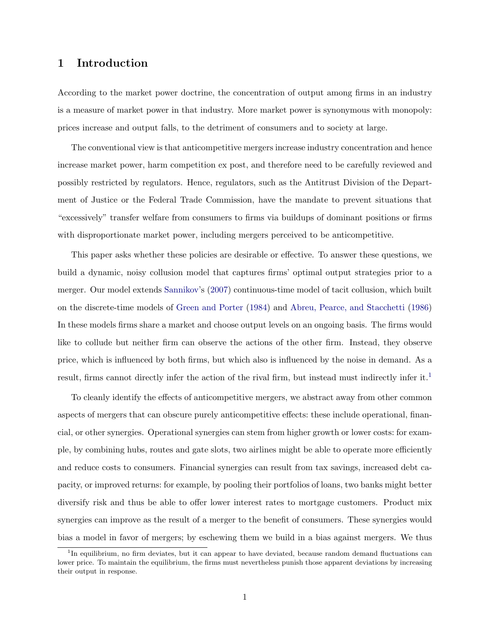## 1 Introduction

According to the market power doctrine, the concentration of output among firms in an industry is a measure of market power in that industry. More market power is synonymous with monopoly: prices increase and output falls, to the detriment of consumers and to society at large.

The conventional view is that anticompetitive mergers increase industry concentration and hence increase market power, harm competition ex post, and therefore need to be carefully reviewed and possibly restricted by regulators. Hence, regulators, such as the Antitrust Division of the Department of Justice or the Federal Trade Commission, have the mandate to prevent situations that "excessively" transfer welfare from consumers to firms via buildups of dominant positions or firms with disproportionate market power, including mergers perceived to be anticompetitive.

This paper asks whether these policies are desirable or effective. To answer these questions, we build a dynamic, noisy collusion model that captures firms' optimal output strategies prior to a merger. Our model extends [Sannikov'](#page-31-0)s [\(2007\)](#page-31-0) continuous-time model of tacit collusion, which built on the discrete-time models of [Green and Porter](#page-31-1) [\(1984\)](#page-31-1) and [Abreu, Pearce, and Stacchetti](#page-30-1) [\(1986\)](#page-30-1) In these models firms share a market and choose output levels on an ongoing basis. The firms would like to collude but neither firm can observe the actions of the other firm. Instead, they observe price, which is influenced by both firms, but which also is influenced by the noise in demand. As a result, firms cannot directly infer the action of the rival firm, but instead must indirectly infer it.<sup>[1](#page-1-0)</sup>

To cleanly identify the effects of anticompetitive mergers, we abstract away from other common aspects of mergers that can obscure purely anticompetitive effects: these include operational, financial, or other synergies. Operational synergies can stem from higher growth or lower costs: for example, by combining hubs, routes and gate slots, two airlines might be able to operate more efficiently and reduce costs to consumers. Financial synergies can result from tax savings, increased debt capacity, or improved returns: for example, by pooling their portfolios of loans, two banks might better diversify risk and thus be able to offer lower interest rates to mortgage customers. Product mix synergies can improve as the result of a merger to the benefit of consumers. These synergies would bias a model in favor of mergers; by eschewing them we build in a bias against mergers. We thus

<span id="page-1-0"></span><sup>&</sup>lt;sup>1</sup>In equilibrium, no firm deviates, but it can appear to have deviated, because random demand fluctuations can lower price. To maintain the equilibrium, the firms must nevertheless punish those apparent deviations by increasing their output in response.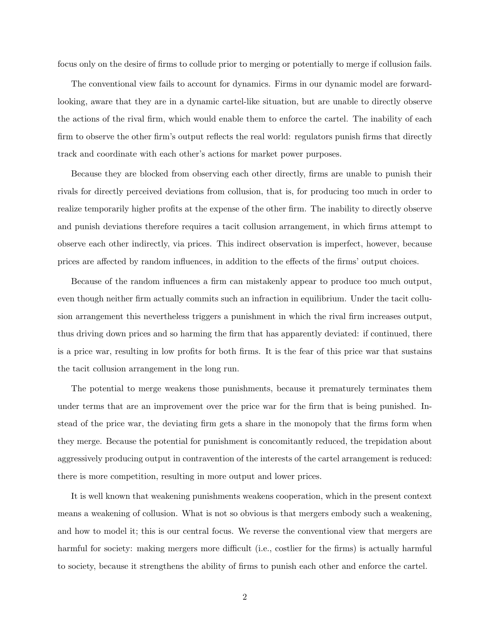focus only on the desire of firms to collude prior to merging or potentially to merge if collusion fails.

The conventional view fails to account for dynamics. Firms in our dynamic model are forwardlooking, aware that they are in a dynamic cartel-like situation, but are unable to directly observe the actions of the rival firm, which would enable them to enforce the cartel. The inability of each firm to observe the other firm's output reflects the real world: regulators punish firms that directly track and coordinate with each other's actions for market power purposes.

Because they are blocked from observing each other directly, firms are unable to punish their rivals for directly perceived deviations from collusion, that is, for producing too much in order to realize temporarily higher profits at the expense of the other firm. The inability to directly observe and punish deviations therefore requires a tacit collusion arrangement, in which firms attempt to observe each other indirectly, via prices. This indirect observation is imperfect, however, because prices are affected by random influences, in addition to the effects of the firms' output choices.

Because of the random influences a firm can mistakenly appear to produce too much output, even though neither firm actually commits such an infraction in equilibrium. Under the tacit collusion arrangement this nevertheless triggers a punishment in which the rival firm increases output, thus driving down prices and so harming the firm that has apparently deviated: if continued, there is a price war, resulting in low profits for both firms. It is the fear of this price war that sustains the tacit collusion arrangement in the long run.

The potential to merge weakens those punishments, because it prematurely terminates them under terms that are an improvement over the price war for the firm that is being punished. Instead of the price war, the deviating firm gets a share in the monopoly that the firms form when they merge. Because the potential for punishment is concomitantly reduced, the trepidation about aggressively producing output in contravention of the interests of the cartel arrangement is reduced: there is more competition, resulting in more output and lower prices.

It is well known that weakening punishments weakens cooperation, which in the present context means a weakening of collusion. What is not so obvious is that mergers embody such a weakening, and how to model it; this is our central focus. We reverse the conventional view that mergers are harmful for society: making mergers more difficult (i.e., costlier for the firms) is actually harmful to society, because it strengthens the ability of firms to punish each other and enforce the cartel.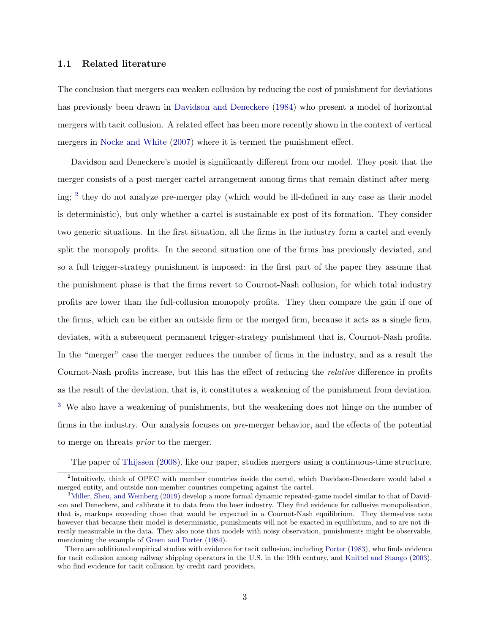### 1.1 Related literature

The conclusion that mergers can weaken collusion by reducing the cost of punishment for deviations has previously been drawn in [Davidson and Deneckere](#page-30-0) [\(1984\)](#page-30-0) who present a model of horizontal mergers with tacit collusion. A related effect has been more recently shown in the context of vertical mergers in [Nocke and White](#page-31-2) [\(2007\)](#page-31-2) where it is termed the punishment effect.

Davidson and Deneckere's model is significantly different from our model. They posit that the merger consists of a post-merger cartel arrangement among firms that remain distinct after merg-ing; <sup>[2](#page-3-0)</sup> they do not analyze pre-merger play (which would be ill-defined in any case as their model is deterministic), but only whether a cartel is sustainable ex post of its formation. They consider two generic situations. In the first situation, all the firms in the industry form a cartel and evenly split the monopoly profits. In the second situation one of the firms has previously deviated, and so a full trigger-strategy punishment is imposed: in the first part of the paper they assume that the punishment phase is that the firms revert to Cournot-Nash collusion, for which total industry profits are lower than the full-collusion monopoly profits. They then compare the gain if one of the firms, which can be either an outside firm or the merged firm, because it acts as a single firm, deviates, with a subsequent permanent trigger-strategy punishment that is, Cournot-Nash profits. In the "merger" case the merger reduces the number of firms in the industry, and as a result the Cournot-Nash profits increase, but this has the effect of reducing the relative difference in profits as the result of the deviation, that is, it constitutes a weakening of the punishment from deviation. [3](#page-3-1) We also have a weakening of punishments, but the weakening does not hinge on the number of firms in the industry. Our analysis focuses on pre-merger behavior, and the effects of the potential to merge on threats prior to the merger.

<span id="page-3-0"></span>The paper of [Thijssen](#page-31-3) [\(2008\)](#page-31-3), like our paper, studies mergers using a continuous-time structure.

<sup>&</sup>lt;sup>2</sup>Intuitively, think of OPEC with member countries inside the cartel, which Davidson-Deneckere would label a merged entity, and outside non-member countries competing against the cartel.

<span id="page-3-1"></span><sup>&</sup>lt;sup>3</sup>[Miller, Sheu, and Weinberg](#page-31-4) [\(2019\)](#page-31-4) develop a more formal dynamic repeated-game model similar to that of Davidson and Deneckere, and calibrate it to data from the beer industry. They find evidence for collusive monopolisation, that is, markups exceeding those that would be expected in a Cournot-Nash equilibrium. They themselves note however that because their model is deterministic, punishments will not be exacted in equilibrium, and so are not directly measurable in the data. They also note that models with noisy observation, punishments might be observable, mentioning the example of [Green and Porter](#page-31-1) [\(1984\)](#page-31-1).

There are additional empirical studies with evidence for tacit collusion, including [Porter](#page-31-5) [\(1983\)](#page-31-5), who finds evidence for tacit collusion among railway shipping operators in the U.S. in the 19th century, and [Knittel and Stango](#page-31-6) [\(2003\)](#page-31-6), who find evidence for tacit collusion by credit card providers.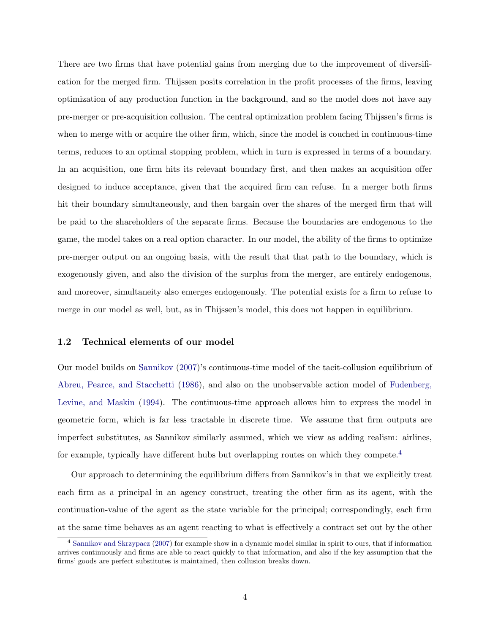There are two firms that have potential gains from merging due to the improvement of diversification for the merged firm. Thijssen posits correlation in the profit processes of the firms, leaving optimization of any production function in the background, and so the model does not have any pre-merger or pre-acquisition collusion. The central optimization problem facing Thijssen's firms is when to merge with or acquire the other firm, which, since the model is couched in continuous-time terms, reduces to an optimal stopping problem, which in turn is expressed in terms of a boundary. In an acquisition, one firm hits its relevant boundary first, and then makes an acquisition offer designed to induce acceptance, given that the acquired firm can refuse. In a merger both firms hit their boundary simultaneously, and then bargain over the shares of the merged firm that will be paid to the shareholders of the separate firms. Because the boundaries are endogenous to the game, the model takes on a real option character. In our model, the ability of the firms to optimize pre-merger output on an ongoing basis, with the result that that path to the boundary, which is exogenously given, and also the division of the surplus from the merger, are entirely endogenous, and moreover, simultaneity also emerges endogenously. The potential exists for a firm to refuse to merge in our model as well, but, as in Thijssen's model, this does not happen in equilibrium.

### 1.2 Technical elements of our model

Our model builds on [Sannikov](#page-31-0) [\(2007\)](#page-31-0)'s continuous-time model of the tacit-collusion equilibrium of [Abreu, Pearce, and Stacchetti](#page-30-1) [\(1986\)](#page-30-1), and also on the unobservable action model of [Fudenberg,](#page-30-2) [Levine, and Maskin](#page-30-2) [\(1994\)](#page-30-2). The continuous-time approach allows him to express the model in geometric form, which is far less tractable in discrete time. We assume that firm outputs are imperfect substitutes, as Sannikov similarly assumed, which we view as adding realism: airlines, for example, typically have different hubs but overlapping routes on which they compete.[4](#page-4-0)

Our approach to determining the equilibrium differs from Sannikov's in that we explicitly treat each firm as a principal in an agency construct, treating the other firm as its agent, with the continuation-value of the agent as the state variable for the principal; correspondingly, each firm at the same time behaves as an agent reacting to what is effectively a contract set out by the other

<span id="page-4-0"></span><sup>4</sup> [Sannikov and Skrzypacz](#page-31-7) [\(2007\)](#page-31-7) for example show in a dynamic model similar in spirit to ours, that if information arrives continuously and firms are able to react quickly to that information, and also if the key assumption that the firms' goods are perfect substitutes is maintained, then collusion breaks down.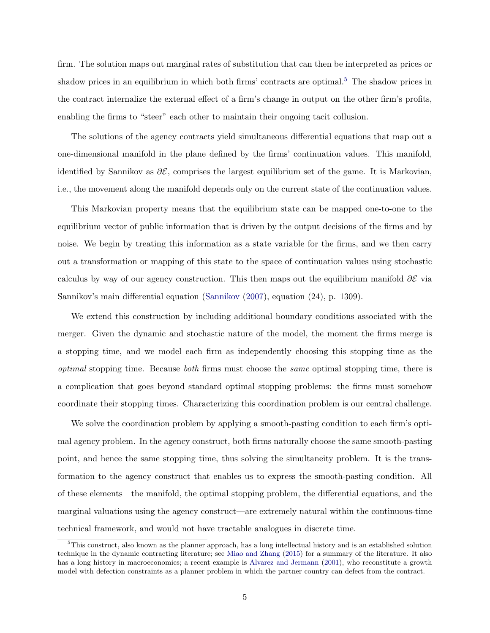firm. The solution maps out marginal rates of substitution that can then be interpreted as prices or shadow prices in an equilibrium in which both firms' contracts are optimal.<sup>[5](#page-5-0)</sup> The shadow prices in the contract internalize the external effect of a firm's change in output on the other firm's profits, enabling the firms to "steer" each other to maintain their ongoing tacit collusion.

The solutions of the agency contracts yield simultaneous differential equations that map out a one-dimensional manifold in the plane defined by the firms' continuation values. This manifold, identified by Sannikov as  $\partial \mathcal{E}$ , comprises the largest equilibrium set of the game. It is Markovian, i.e., the movement along the manifold depends only on the current state of the continuation values.

This Markovian property means that the equilibrium state can be mapped one-to-one to the equilibrium vector of public information that is driven by the output decisions of the firms and by noise. We begin by treating this information as a state variable for the firms, and we then carry out a transformation or mapping of this state to the space of continuation values using stochastic calculus by way of our agency construction. This then maps out the equilibrium manifold  $\partial \mathcal{E}$  via Sannikov's main differential equation [\(Sannikov](#page-31-0) [\(2007\)](#page-31-0), equation (24), p. 1309).

We extend this construction by including additional boundary conditions associated with the merger. Given the dynamic and stochastic nature of the model, the moment the firms merge is a stopping time, and we model each firm as independently choosing this stopping time as the optimal stopping time. Because both firms must choose the same optimal stopping time, there is a complication that goes beyond standard optimal stopping problems: the firms must somehow coordinate their stopping times. Characterizing this coordination problem is our central challenge.

We solve the coordination problem by applying a smooth-pasting condition to each firm's optimal agency problem. In the agency construct, both firms naturally choose the same smooth-pasting point, and hence the same stopping time, thus solving the simultaneity problem. It is the transformation to the agency construct that enables us to express the smooth-pasting condition. All of these elements—the manifold, the optimal stopping problem, the differential equations, and the marginal valuations using the agency construct—are extremely natural within the continuous-time technical framework, and would not have tractable analogues in discrete time.

<span id="page-5-0"></span><sup>5</sup>This construct, also known as the planner approach, has a long intellectual history and is an established solution technique in the dynamic contracting literature; see [Miao and Zhang](#page-31-8) [\(2015\)](#page-31-8) for a summary of the literature. It also has a long history in macroeconomics; a recent example is [Alvarez and Jermann](#page-30-3) [\(2001\)](#page-30-3), who reconstitute a growth model with defection constraints as a planner problem in which the partner country can defect from the contract.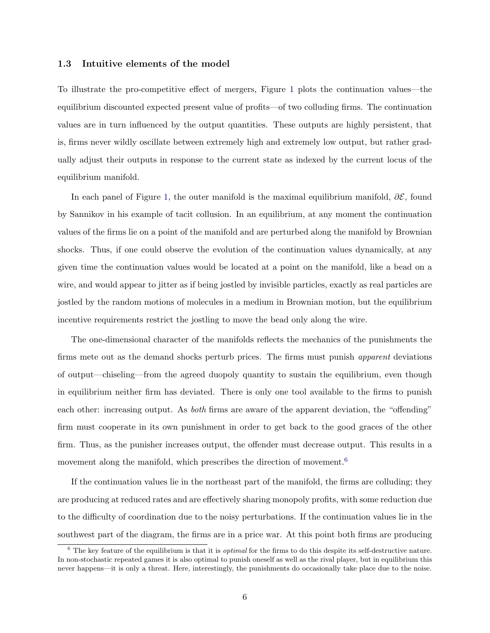### 1.3 Intuitive elements of the model

To illustrate the pro-competitive effect of mergers, Figure [1](#page-7-0) plots the continuation values—the equilibrium discounted expected present value of profits—of two colluding firms. The continuation values are in turn influenced by the output quantities. These outputs are highly persistent, that is, firms never wildly oscillate between extremely high and extremely low output, but rather gradually adjust their outputs in response to the current state as indexed by the current locus of the equilibrium manifold.

In each panel of Figure [1,](#page-7-0) the outer manifold is the maximal equilibrium manifold,  $\partial \mathcal{E}$ , found by Sannikov in his example of tacit collusion. In an equilibrium, at any moment the continuation values of the firms lie on a point of the manifold and are perturbed along the manifold by Brownian shocks. Thus, if one could observe the evolution of the continuation values dynamically, at any given time the continuation values would be located at a point on the manifold, like a bead on a wire, and would appear to jitter as if being jostled by invisible particles, exactly as real particles are jostled by the random motions of molecules in a medium in Brownian motion, but the equilibrium incentive requirements restrict the jostling to move the bead only along the wire.

The one-dimensional character of the manifolds reflects the mechanics of the punishments the firms mete out as the demand shocks perturb prices. The firms must punish apparent deviations of output—chiseling—from the agreed duopoly quantity to sustain the equilibrium, even though in equilibrium neither firm has deviated. There is only one tool available to the firms to punish each other: increasing output. As *both* firms are aware of the apparent deviation, the "offending" firm must cooperate in its own punishment in order to get back to the good graces of the other firm. Thus, as the punisher increases output, the offender must decrease output. This results in a movement along the manifold, which prescribes the direction of movement.<sup>[6](#page-6-0)</sup>

If the continuation values lie in the northeast part of the manifold, the firms are colluding; they are producing at reduced rates and are effectively sharing monopoly profits, with some reduction due to the difficulty of coordination due to the noisy perturbations. If the continuation values lie in the southwest part of the diagram, the firms are in a price war. At this point both firms are producing

<span id="page-6-0"></span> $6$  The key feature of the equilibrium is that it is *optimal* for the firms to do this despite its self-destructive nature. In non-stochastic repeated games it is also optimal to punish oneself as well as the rival player, but in equilibrium this never happens—it is only a threat. Here, interestingly, the punishments do occasionally take place due to the noise.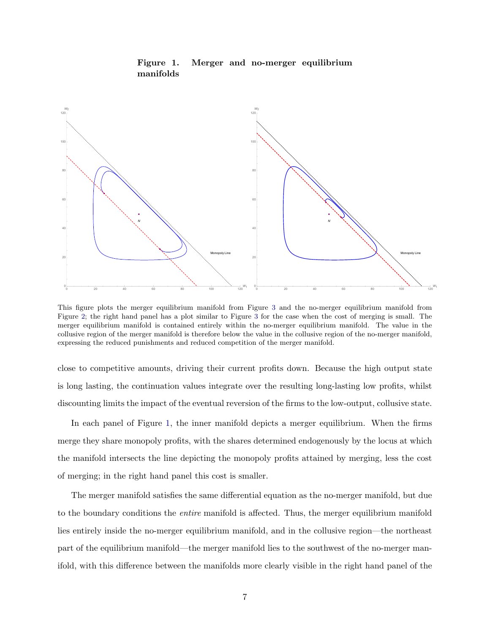<span id="page-7-0"></span>

Figure 1. Merger and no-merger equilibrium manifolds

This figure plots the merger equilibrium manifold from Figure [3](#page-22-0) and the no-merger equilibrium manifold from Figure [2;](#page-20-0) the right hand panel has a plot similar to Figure [3](#page-22-0) for the case when the cost of merging is small. The merger equilibrium manifold is contained entirely within the no-merger equilibrium manifold. The value in the collusive region of the merger manifold is therefore below the value in the collusive region of the no-merger manifold, expressing the reduced punishments and reduced competition of the merger manifold.

close to competitive amounts, driving their current profits down. Because the high output state is long lasting, the continuation values integrate over the resulting long-lasting low profits, whilst discounting limits the impact of the eventual reversion of the firms to the low-output, collusive state.

In each panel of Figure [1,](#page-7-0) the inner manifold depicts a merger equilibrium. When the firms merge they share monopoly profits, with the shares determined endogenously by the locus at which the manifold intersects the line depicting the monopoly profits attained by merging, less the cost of merging; in the right hand panel this cost is smaller.

The merger manifold satisfies the same differential equation as the no-merger manifold, but due to the boundary conditions the entire manifold is affected. Thus, the merger equilibrium manifold lies entirely inside the no-merger equilibrium manifold, and in the collusive region—the northeast part of the equilibrium manifold—the merger manifold lies to the southwest of the no-merger manifold, with this difference between the manifolds more clearly visible in the right hand panel of the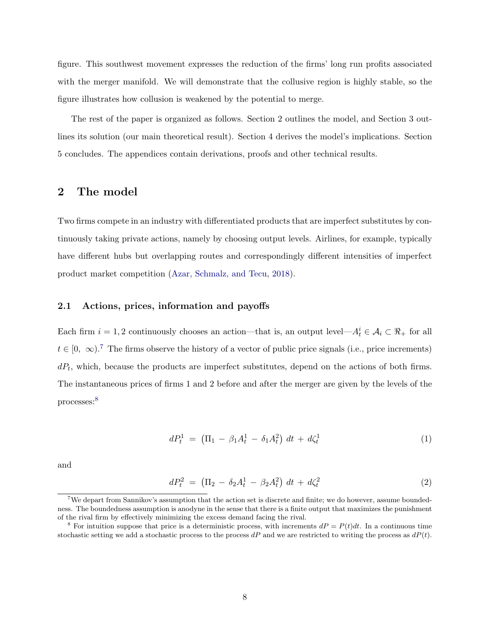figure. This southwest movement expresses the reduction of the firms' long run profits associated with the merger manifold. We will demonstrate that the collusive region is highly stable, so the figure illustrates how collusion is weakened by the potential to merge.

The rest of the paper is organized as follows. Section 2 outlines the model, and Section 3 outlines its solution (our main theoretical result). Section 4 derives the model's implications. Section 5 concludes. The appendices contain derivations, proofs and other technical results.

## 2 The model

Two firms compete in an industry with differentiated products that are imperfect substitutes by continuously taking private actions, namely by choosing output levels. Airlines, for example, typically have different hubs but overlapping routes and correspondingly different intensities of imperfect product market competition [\(Azar, Schmalz, and Tecu,](#page-30-4) [2018\)](#page-30-4).

#### 2.1 Actions, prices, information and payoffs

Each firm  $i = 1, 2$  continuously chooses an action—that is, an output level— $A_t^i \in \mathcal{A}_i \subset \Re_+$  for all  $t \in [0, \infty)$ .<sup>[7](#page-8-0)</sup> The firms observe the history of a vector of public price signals (i.e., price increments)  $dP_t$ , which, because the products are imperfect substitutes, depend on the actions of both firms. The instantaneous prices of firms 1 and 2 before and after the merger are given by the levels of the processes:[8](#page-8-1)

<span id="page-8-2"></span>
$$
dP_t^1 = (\Pi_1 - \beta_1 A_t^1 - \delta_1 A_t^2) dt + d\zeta_t^1
$$
 (1)

and

<span id="page-8-3"></span>
$$
dP_t^2 = (\Pi_2 - \delta_2 A_t^1 - \beta_2 A_t^2) dt + d\zeta_t^2
$$
\n(2)

<span id="page-8-0"></span><sup>7</sup>We depart from Sannikov's assumption that the action set is discrete and finite; we do however, assume boundedness. The boundedness assumption is anodyne in the sense that there is a finite output that maximizes the punishment of the rival firm by effectively minimizing the excess demand facing the rival.

<span id="page-8-1"></span><sup>&</sup>lt;sup>8</sup> For intuition suppose that price is a deterministic process, with increments  $dP = P(t)dt$ . In a continuous time stochastic setting we add a stochastic process to the process  $dP$  and we are restricted to writing the process as  $dP(t)$ .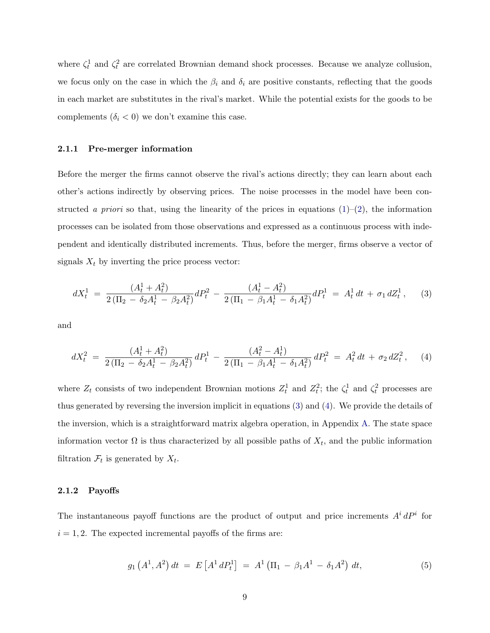where  $\zeta_t^1$  and  $\zeta_t^2$  are correlated Brownian demand shock processes. Because we analyze collusion, we focus only on the case in which the  $\beta_i$  and  $\delta_i$  are positive constants, reflecting that the goods in each market are substitutes in the rival's market. While the potential exists for the goods to be complements  $(\delta_i < 0)$  we don't examine this case.

## 2.1.1 Pre-merger information

Before the merger the firms cannot observe the rival's actions directly; they can learn about each other's actions indirectly by observing prices. The noise processes in the model have been constructed a priori so that, using the linearity of the prices in equations  $(1)-(2)$  $(1)-(2)$  $(1)-(2)$ , the information processes can be isolated from those observations and expressed as a continuous process with independent and identically distributed increments. Thus, before the merger, firms observe a vector of signals  $X_t$  by inverting the price process vector:

<span id="page-9-0"></span>
$$
dX_t^1 = \frac{(A_t^1 + A_t^2)}{2(\Pi_2 - \delta_2 A_t^1 - \beta_2 A_t^2)} dP_t^2 - \frac{(A_t^1 - A_t^2)}{2(\Pi_1 - \beta_1 A_t^1 - \delta_1 A_t^2)} dP_t^1 = A_t^1 dt + \sigma_1 dZ_t^1,
$$
 (3)

and

<span id="page-9-1"></span>
$$
dX_t^2 = \frac{(A_t^1 + A_t^2)}{2(\Pi_2 - \delta_2 A_t^1 - \beta_2 A_t^2)} dP_t^1 - \frac{(A_t^2 - A_t^1)}{2(\Pi_1 - \beta_1 A_t^1 - \delta_1 A_t^2)} dP_t^2 = A_t^2 dt + \sigma_2 dZ_t^2, \quad (4)
$$

where  $Z_t$  consists of two independent Brownian motions  $Z_t^1$  and  $Z_t^2$ ; the  $\zeta_t^1$  and  $\zeta_t^2$  processes are thus generated by reversing the inversion implicit in equations [\(3\)](#page-9-0) and [\(4\)](#page-9-1). We provide the details of the inversion, which is a straightforward matrix algebra operation, in Appendix [A.](#page-32-0) The state space information vector  $\Omega$  is thus characterized by all possible paths of  $X_t$ , and the public information filtration  $\mathcal{F}_t$  is generated by  $X_t$ .

### 2.1.2 Payoffs

The instantaneous payoff functions are the product of output and price increments  $A^{i} dP^{i}$  for  $i = 1, 2$ . The expected incremental payoffs of the firms are:

<span id="page-9-2"></span>
$$
g_1(A^1, A^2) dt = E[A^1 dP_t^1] = A^1 (\Pi_1 - \beta_1 A^1 - \delta_1 A^2) dt,
$$
\n(5)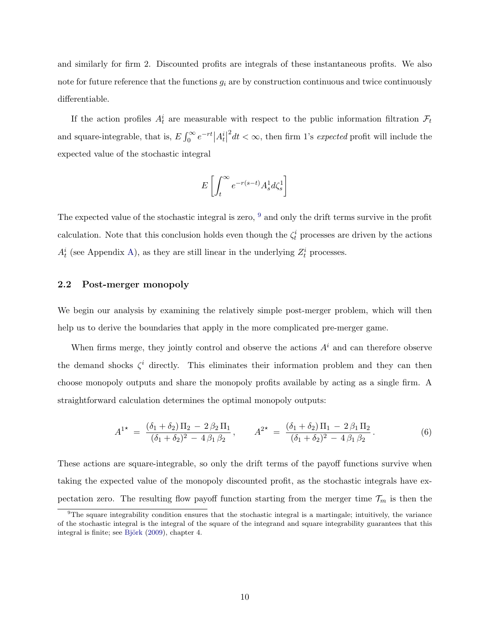and similarly for firm 2. Discounted profits are integrals of these instantaneous profits. We also note for future reference that the functions  $g_i$  are by construction continuous and twice continuously differentiable.

If the action profiles  $A_t^i$  are measurable with respect to the public information filtration  $\mathcal{F}_t$ and square-integrable, that is,  $E \int_0^\infty e^{-rt} |A_t^i|$  $2<sup>2</sup>dt < \infty$ , then firm 1's *expected* profit will include the expected value of the stochastic integral

$$
E\left[\int_t^\infty e^{-r(s-t)}A^1_sd\zeta^1_s\right]
$$

The expected value of the stochastic integral is zero,  $9$  and only the drift terms survive in the profit calculation. Note that this conclusion holds even though the  $\zeta_t^i$  processes are driven by the actions  $A_t^i$  (see Appendix [A\)](#page-32-0), as they are still linear in the underlying  $Z_t^i$  processes.

## 2.2 Post-merger monopoly

We begin our analysis by examining the relatively simple post-merger problem, which will then help us to derive the boundaries that apply in the more complicated pre-merger game.

When firms merge, they jointly control and observe the actions  $A<sup>i</sup>$  and can therefore observe the demand shocks  $\zeta^i$  directly. This eliminates their information problem and they can then choose monopoly outputs and share the monopoly profits available by acting as a single firm. A straightforward calculation determines the optimal monopoly outputs:

<span id="page-10-1"></span>
$$
A^{1*} = \frac{(\delta_1 + \delta_2) \Pi_2 - 2 \beta_2 \Pi_1}{(\delta_1 + \delta_2)^2 - 4 \beta_1 \beta_2}, \qquad A^{2*} = \frac{(\delta_1 + \delta_2) \Pi_1 - 2 \beta_1 \Pi_2}{(\delta_1 + \delta_2)^2 - 4 \beta_1 \beta_2}.
$$
 (6)

These actions are square-integrable, so only the drift terms of the payoff functions survive when taking the expected value of the monopoly discounted profit, as the stochastic integrals have expectation zero. The resulting flow payoff function starting from the merger time  $\mathcal{T}_m$  is then the

<span id="page-10-0"></span> $9$ The square integrability condition ensures that the stochastic integral is a martingale; intuitively, the variance of the stochastic integral is the integral of the square of the integrand and square integrability guarantees that this integral is finite; see Björk [\(2009\)](#page-30-5), chapter 4.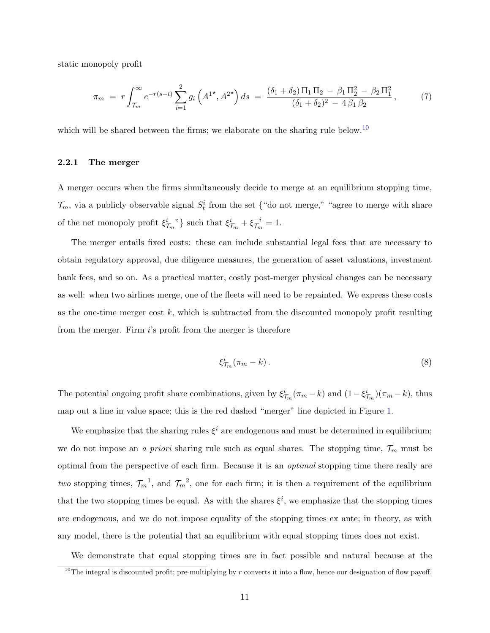static monopoly profit

$$
\pi_m = r \int_{\mathcal{T}_m}^{\infty} e^{-r(s-t)} \sum_{i=1}^2 g_i \left( A^{1\star}, A^{2\star} \right) ds = \frac{(\delta_1 + \delta_2) \Pi_1 \Pi_2 - \beta_1 \Pi_2^2 - \beta_2 \Pi_1^2}{(\delta_1 + \delta_2)^2 - 4 \beta_1 \beta_2}, \tag{7}
$$

which will be shared between the firms; we elaborate on the sharing rule below.<sup>[10](#page-11-0)</sup>

### 2.2.1 The merger

A merger occurs when the firms simultaneously decide to merge at an equilibrium stopping time,  $\mathcal{T}_m$ , via a publicly observable signal  $S_t^i$  from the set {"do not merge," "agree to merge with share of the net monopoly profit  $\xi_{\mathcal{T}_m}^i$ , such that  $\xi_{\mathcal{T}_m}^i + \xi_{\mathcal{T}_m}^{-i}$  $\frac{-i}{\mathcal{T}_m} = 1.$ 

The merger entails fixed costs: these can include substantial legal fees that are necessary to obtain regulatory approval, due diligence measures, the generation of asset valuations, investment bank fees, and so on. As a practical matter, costly post-merger physical changes can be necessary as well: when two airlines merge, one of the fleets will need to be repainted. We express these costs as the one-time merger cost  $k$ , which is subtracted from the discounted monopoly profit resulting from the merger. Firm i's profit from the merger is therefore

$$
\xi_{\mathcal{T}_m}^i(\pi_m - k) \,. \tag{8}
$$

The potential ongoing profit share combinations, given by  $\xi^i_{\tau_m}(\pi_m - k)$  and  $(1 - \xi^i_{\tau_m})(\pi_m - k)$ , thus map out a line in value space; this is the red dashed "merger" line depicted in Figure [1.](#page-7-0)

We emphasize that the sharing rules  $\xi^i$  are endogenous and must be determined in equilibrium; we do not impose an *a priori* sharing rule such as equal shares. The stopping time,  $\mathcal{T}_m$  must be optimal from the perspective of each firm. Because it is an optimal stopping time there really are two stopping times,  $\mathcal{T}_m^{-1}$ , and  $\mathcal{T}_m^{-2}$ , one for each firm; it is then a requirement of the equilibrium that the two stopping times be equal. As with the shares  $\xi^i$ , we emphasize that the stopping times are endogenous, and we do not impose equality of the stopping times ex ante; in theory, as with any model, there is the potential that an equilibrium with equal stopping times does not exist.

We demonstrate that equal stopping times are in fact possible and natural because at the

<span id="page-11-0"></span><sup>&</sup>lt;sup>10</sup>The integral is discounted profit; pre-multiplying by  $r$  converts it into a flow, hence our designation of flow payoff.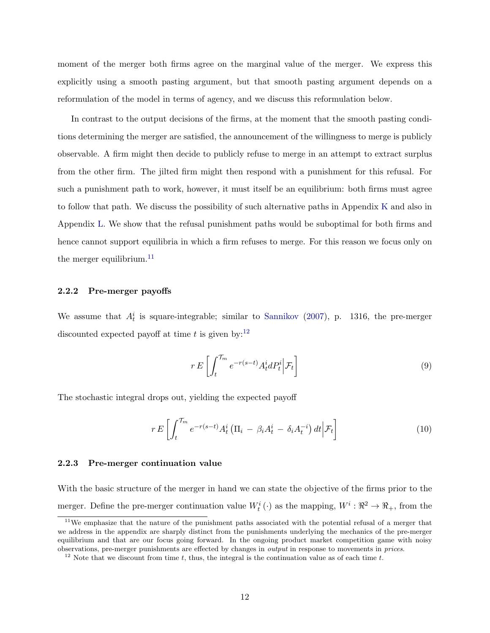moment of the merger both firms agree on the marginal value of the merger. We express this explicitly using a smooth pasting argument, but that smooth pasting argument depends on a reformulation of the model in terms of agency, and we discuss this reformulation below.

In contrast to the output decisions of the firms, at the moment that the smooth pasting conditions determining the merger are satisfied, the announcement of the willingness to merge is publicly observable. A firm might then decide to publicly refuse to merge in an attempt to extract surplus from the other firm. The jilted firm might then respond with a punishment for this refusal. For such a punishment path to work, however, it must itself be an equilibrium: both firms must agree to follow that path. We discuss the possibility of such alternative paths in Appendix [K](#page-46-0) and also in Appendix [L.](#page-49-0) We show that the refusal punishment paths would be suboptimal for both firms and hence cannot support equilibria in which a firm refuses to merge. For this reason we focus only on the merger equilibrium. $^{11}$  $^{11}$  $^{11}$ 

#### 2.2.2 Pre-merger payoffs

We assume that  $A_t^i$  is square-integrable; similar to [Sannikov](#page-31-0) [\(2007\)](#page-31-0), p. 1316, the pre-merger discounted expected payoff at time t is given by:<sup>[12](#page-12-1)</sup>

<span id="page-12-2"></span>
$$
r E\left[\int_{t}^{\mathcal{T}_m} e^{-r(s-t)} A_t^i dP_t^i \middle| \mathcal{F}_t\right]
$$
\n
$$
(9)
$$

The stochastic integral drops out, yielding the expected payoff

$$
r E\left[\int_{t}^{\mathcal{T}_m} e^{-r(s-t)} A_t^i \left(\Pi_i - \beta_i A_t^i - \delta_i A_t^{-i}\right) dt \Big| \mathcal{F}_t\right]
$$
\n(10)

#### 2.2.3 Pre-merger continuation value

With the basic structure of the merger in hand we can state the objective of the firms prior to the merger. Define the pre-merger continuation value  $W_t^i(\cdot)$  as the mapping,  $W^i: \mathbb{R}^2 \to \mathbb{R}_+$ , from the

<span id="page-12-0"></span><sup>11</sup>We emphasize that the nature of the punishment paths associated with the potential refusal of a merger that we address in the appendix are sharply distinct from the punishments underlying the mechanics of the pre-merger equilibrium and that are our focus going forward. In the ongoing product market competition game with noisy observations, pre-merger punishments are effected by changes in output in response to movements in prices.

<span id="page-12-1"></span><sup>&</sup>lt;sup>12</sup> Note that we discount from time t, thus, the integral is the continuation value as of each time t.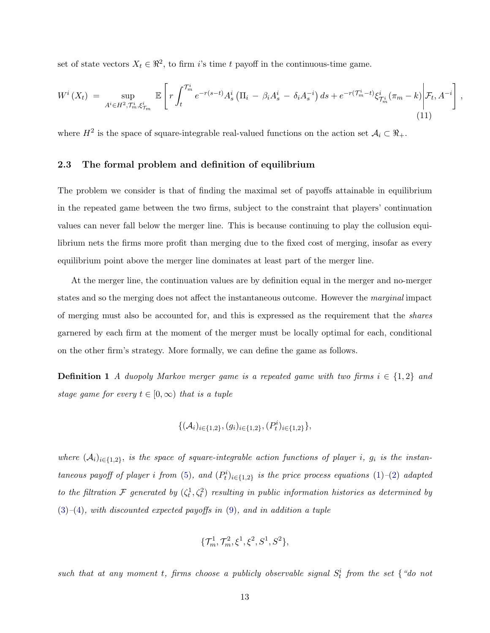set of state vectors  $X_t \in \mathbb{R}^2$ , to firm i's time t payoff in the continuous-time game.

$$
W^{i}\left(X_{t}\right) \ = \ \sup_{A^{i}\in H^{2}, T_{m}^{i}, \xi_{T_{m}}^{i}} \ \mathbb{E}\left[r\int_{t}^{T_{m}^{i}} e^{-r(s-t)} A_{s}^{i}\left(\Pi_{i} \ - \ \beta_{i} A_{s}^{i} \ - \ \delta_{i} A_{s}^{-i}\right)ds + e^{-r(T_{m}^{i}-t)}\xi_{T_{m}^{i}}^{i}\left(\pi_{m} - k\right)\middle|\mathcal{F}_{t}, A^{-i}\right] \tag{11}
$$

,

where  $H^2$  is the space of square-integrable real-valued functions on the action set  $\mathcal{A}_i \subset \mathbb{R}_+$ .

## 2.3 The formal problem and definition of equilibrium

The problem we consider is that of finding the maximal set of payoffs attainable in equilibrium in the repeated game between the two firms, subject to the constraint that players' continuation values can never fall below the merger line. This is because continuing to play the collusion equilibrium nets the firms more profit than merging due to the fixed cost of merging, insofar as every equilibrium point above the merger line dominates at least part of the merger line.

At the merger line, the continuation values are by definition equal in the merger and no-merger states and so the merging does not affect the instantaneous outcome. However the *marginal* impact of merging must also be accounted for, and this is expressed as the requirement that the shares garnered by each firm at the moment of the merger must be locally optimal for each, conditional on the other firm's strategy. More formally, we can define the game as follows.

**Definition 1** A duopoly Markov merger game is a repeated game with two firms  $i \in \{1,2\}$  and stage game for every  $t \in [0,\infty)$  that is a tuple

$$
\{(\mathcal{A}_i)_{i \in \{1,2\}}, (g_i)_{i \in \{1,2\}}, (P_t^i)_{i \in \{1,2\}}\},\
$$

where  $(A_i)_{i\in\{1,2\}}$ , is the space of square-integrable action functions of player i,  $g_i$  is the instan-taneous payoff of player i from [\(5\)](#page-9-2), and  $(P_t^i)_{i \in \{1,2\}}$  is the price process equations [\(1\)](#page-8-2)–[\(2\)](#page-8-3) adapted to the filtration F generated by  $(\zeta_t^1, \zeta_t^2)$  resulting in public information histories as determined by  $(3)$ – $(4)$ , with discounted expected payoffs in  $(9)$ , and in addition a tuple

$$
\{\mathcal{T}_m^1, \mathcal{T}_m^2, \xi^1, \xi^2, S^1, S^2\},
$$

such that at any moment t, firms choose a publicly observable signal  $S_t^i$  from the set  $\{$  "do not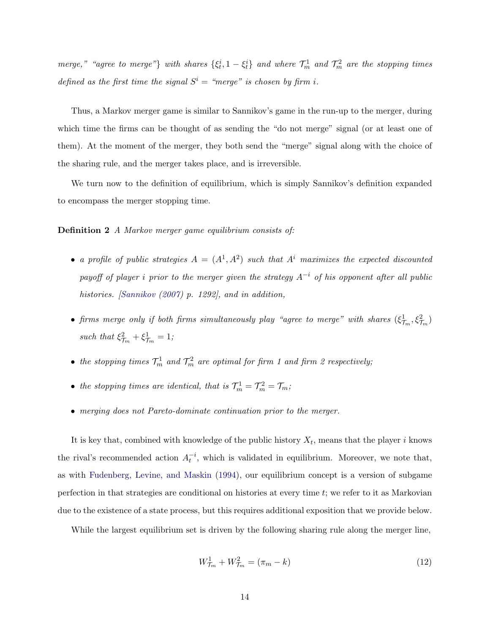merge," "agree to merge"} with shares  $\{\xi_t^i, 1 - \xi_t^i\}$  and where  $\mathcal{T}_{m}^1$  and  $\mathcal{T}_{m}^2$  are the stopping times defined as the first time the signal  $S^i$  = "merge" is chosen by firm i.

Thus, a Markov merger game is similar to Sannikov's game in the run-up to the merger, during which time the firms can be thought of as sending the "do not merge" signal (or at least one of them). At the moment of the merger, they both send the "merge" signal along with the choice of the sharing rule, and the merger takes place, and is irreversible.

We turn now to the definition of equilibrium, which is simply Sannikov's definition expanded to encompass the merger stopping time.

## Definition 2 A Markov merger game equilibrium consists of:

- a profile of public strategies  $A = (A^1, A^2)$  such that  $A^i$  maximizes the expected discounted payoff of player i prior to the merger given the strategy  $A^{-i}$  of his opponent after all public histories. [\[Sannikov](#page-31-0) [\(2007\)](#page-31-0) p. 1292], and in addition,
- firms merge only if both firms simultaneously play "agree to merge" with shares  $(\xi_{\mathcal{T}_m}^1,\xi_{\mathcal{T}_m}^2)$ such that  $\xi_{\mathcal{T}_m}^2 + \xi_{\mathcal{T}_m}^1 = 1$ ;
- the stopping times  $\mathcal{T}_m^1$  and  $\mathcal{T}_m^2$  are optimal for firm 1 and firm 2 respectively;
- the stopping times are identical, that is  $\mathcal{T}_m^1 = \mathcal{T}_m^2 = \mathcal{T}_m$ ;
- merging does not Pareto-dominate continuation prior to the merger.

It is key that, combined with knowledge of the public history  $X_t$ , means that the player i knows the rival's recommended action  $A_t^{-i}$ , which is validated in equilibrium. Moreover, we note that, as with [Fudenberg, Levine, and Maskin](#page-30-2) [\(1994\)](#page-30-2), our equilibrium concept is a version of subgame perfection in that strategies are conditional on histories at every time t; we refer to it as Markovian due to the existence of a state process, but this requires additional exposition that we provide below.

While the largest equilibrium set is driven by the following sharing rule along the merger line,

$$
W_{\mathcal{T}_m}^1 + W_{\mathcal{T}_m}^2 = (\pi_m - k)
$$
\n(12)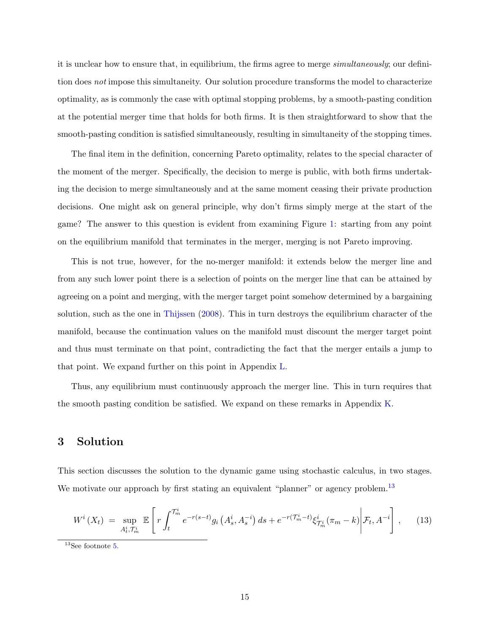it is unclear how to ensure that, in equilibrium, the firms agree to merge *simultaneously*; our definition does not impose this simultaneity. Our solution procedure transforms the model to characterize optimality, as is commonly the case with optimal stopping problems, by a smooth-pasting condition at the potential merger time that holds for both firms. It is then straightforward to show that the smooth-pasting condition is satisfied simultaneously, resulting in simultaneity of the stopping times.

The final item in the definition, concerning Pareto optimality, relates to the special character of the moment of the merger. Specifically, the decision to merge is public, with both firms undertaking the decision to merge simultaneously and at the same moment ceasing their private production decisions. One might ask on general principle, why don't firms simply merge at the start of the game? The answer to this question is evident from examining Figure [1:](#page-7-0) starting from any point on the equilibrium manifold that terminates in the merger, merging is not Pareto improving.

This is not true, however, for the no-merger manifold: it extends below the merger line and from any such lower point there is a selection of points on the merger line that can be attained by agreeing on a point and merging, with the merger target point somehow determined by a bargaining solution, such as the one in [Thijssen](#page-31-3) [\(2008\)](#page-31-3). This in turn destroys the equilibrium character of the manifold, because the continuation values on the manifold must discount the merger target point and thus must terminate on that point, contradicting the fact that the merger entails a jump to that point. We expand further on this point in Appendix [L.](#page-49-0)

Thus, any equilibrium must continuously approach the merger line. This in turn requires that the smooth pasting condition be satisfied. We expand on these remarks in Appendix [K.](#page-46-0)

## 3 Solution

This section discusses the solution to the dynamic game using stochastic calculus, in two stages. We motivate our approach by first stating an equivalent "planner" or agency problem.<sup>[13](#page-15-0)</sup>

<span id="page-15-1"></span>
$$
W^{i}\left(X_{t}\right) \ = \ \sup_{A_{t}^{i}, \mathcal{T}_{m}^{i}} \ \mathbb{E}\left[r\int_{t}^{\mathcal{T}_{m}^{i}} e^{-r(s-t)}g_{i}\left(A_{s}^{i}, A_{s}^{-i}\right)ds + e^{-r(\mathcal{T}_{m}^{i}-t)}\xi_{\mathcal{T}_{m}^{i}}^{i}\left(\pi_{m}-k\right)\middle|\mathcal{F}_{t}, A^{-i}\right],\tag{13}
$$

<span id="page-15-0"></span> $^{13}\mathrm{See}$  footnote [5.](#page-5-0)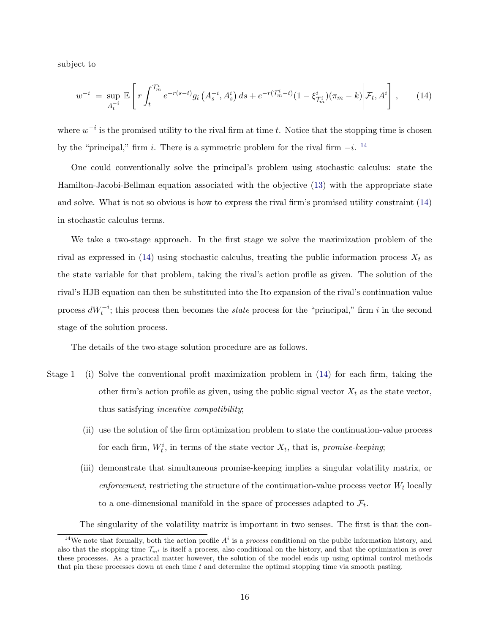subject to

<span id="page-16-1"></span>
$$
w^{-i} = \sup_{A_t^{-i}} \mathbb{E}\left[r\int_t^{\mathcal{T}_m^i} e^{-r(s-t)}g_i\left(A_s^{-i}, A_s^i\right)ds + e^{-r(\mathcal{T}_m^i - t)}(1 - \xi_{\mathcal{T}_m^i}^i)(\pi_m - k)\middle|\mathcal{F}_t, A^i\right],\tag{14}
$$

where  $w^{-i}$  is the promised utility to the rival firm at time t. Notice that the stopping time is chosen by the "principal," firm i. There is a symmetric problem for the rival firm  $-i$ . <sup>[14](#page-16-0)</sup>

One could conventionally solve the principal's problem using stochastic calculus: state the Hamilton-Jacobi-Bellman equation associated with the objective [\(13\)](#page-15-1) with the appropriate state and solve. What is not so obvious is how to express the rival firm's promised utility constraint [\(14\)](#page-16-1) in stochastic calculus terms.

We take a two-stage approach. In the first stage we solve the maximization problem of the rival as expressed in [\(14\)](#page-16-1) using stochastic calculus, treating the public information process  $X_t$  as the state variable for that problem, taking the rival's action profile as given. The solution of the rival's HJB equation can then be substituted into the Ito expansion of the rival's continuation value process  $dW_t^{-i}$ ; this process then becomes the *state* process for the "principal," firm i in the second stage of the solution process.

The details of the two-stage solution procedure are as follows.

- Stage 1 (i) Solve the conventional profit maximization problem in [\(14\)](#page-16-1) for each firm, taking the other firm's action profile as given, using the public signal vector  $X_t$  as the state vector, thus satisfying incentive compatibility;
	- (ii) use the solution of the firm optimization problem to state the continuation-value process for each firm,  $W_t^i$ , in terms of the state vector  $X_t$ , that is, *promise-keeping*;
	- (iii) demonstrate that simultaneous promise-keeping implies a singular volatility matrix, or enforcement, restricting the structure of the continuation-value process vector  $W_t$  locally to a one-dimensional manifold in the space of processes adapted to  $\mathcal{F}_t$ .

The singularity of the volatility matrix is important in two senses. The first is that the con-

<span id="page-16-0"></span><sup>&</sup>lt;sup>14</sup>We note that formally, both the action profile  $A^i$  is a *process* conditional on the public information history, and also that the stopping time  $\mathcal{T}_{m^i}$  is itself a process, also conditional on the history, and that the optimization is over these processes. As a practical matter however, the solution of the model ends up using optimal control methods that pin these processes down at each time  $t$  and determine the optimal stopping time via smooth pasting.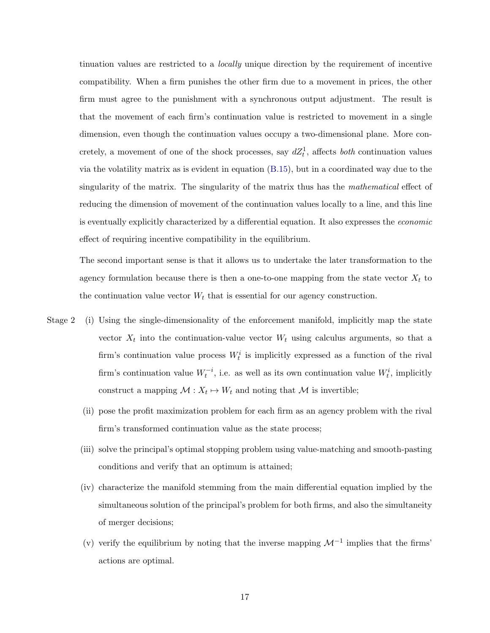tinuation values are restricted to a locally unique direction by the requirement of incentive compatibility. When a firm punishes the other firm due to a movement in prices, the other firm must agree to the punishment with a synchronous output adjustment. The result is that the movement of each firm's continuation value is restricted to movement in a single dimension, even though the continuation values occupy a two-dimensional plane. More concretely, a movement of one of the shock processes, say  $dZ_t^1$ , affects *both* continuation values via the volatility matrix as is evident in equation [\(B.15\)](#page-33-0), but in a coordinated way due to the singularity of the matrix. The singularity of the matrix thus has the mathematical effect of reducing the dimension of movement of the continuation values locally to a line, and this line is eventually explicitly characterized by a differential equation. It also expresses the economic effect of requiring incentive compatibility in the equilibrium.

The second important sense is that it allows us to undertake the later transformation to the agency formulation because there is then a one-to-one mapping from the state vector  $X_t$  to the continuation value vector  $W_t$  that is essential for our agency construction.

- Stage 2 (i) Using the single-dimensionality of the enforcement manifold, implicitly map the state vector  $X_t$  into the continuation-value vector  $W_t$  using calculus arguments, so that a firm's continuation value process  $W_t^i$  is implicitly expressed as a function of the rival firm's continuation value  $W_t^{-i}$ , i.e. as well as its own continuation value  $W_t^i$ , implicitly construct a mapping  $\mathcal{M}: X_t \mapsto W_t$  and noting that  $\mathcal M$  is invertible;
	- (ii) pose the profit maximization problem for each firm as an agency problem with the rival firm's transformed continuation value as the state process;
	- (iii) solve the principal's optimal stopping problem using value-matching and smooth-pasting conditions and verify that an optimum is attained;
	- (iv) characterize the manifold stemming from the main differential equation implied by the simultaneous solution of the principal's problem for both firms, and also the simultaneity of merger decisions;
	- (v) verify the equilibrium by noting that the inverse mapping  $\mathcal{M}^{-1}$  implies that the firms' actions are optimal.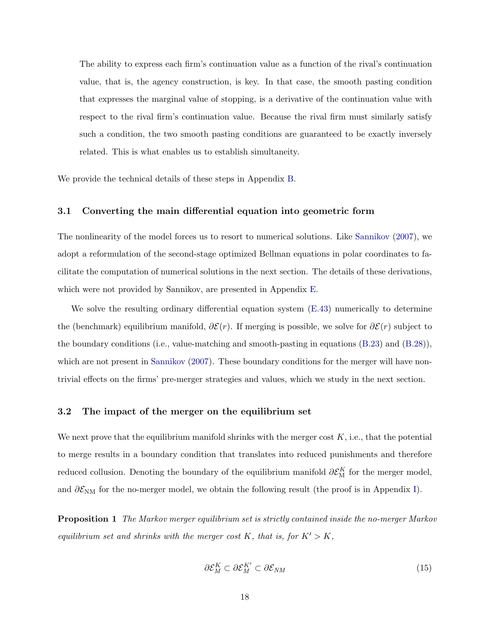The ability to express each firm's continuation value as a function of the rival's continuation value, that is, the agency construction, is key. In that case, the smooth pasting condition that expresses the marginal value of stopping, is a derivative of the continuation value with respect to the rival firm's continuation value. Because the rival firm must similarly satisfy such a condition, the two smooth pasting conditions are guaranteed to be exactly inversely related. This is what enables us to establish simultaneity.

We provide the technical details of these steps in Appendix [B.](#page-33-1)

### 3.1 Converting the main differential equation into geometric form

The nonlinearity of the model forces us to resort to numerical solutions. Like [Sannikov](#page-31-0) [\(2007\)](#page-31-0), we adopt a reformulation of the second-stage optimized Bellman equations in polar coordinates to facilitate the computation of numerical solutions in the next section. The details of these derivations, which were not provided by Sannikov, are presented in Appendix [E.](#page-40-0)

We solve the resulting ordinary differential equation system  $(E.43)$  numerically to determine the (benchmark) equilibrium manifold,  $\partial \mathcal{E}(r)$ . If merging is possible, we solve for  $\partial \mathcal{E}(r)$  subject to the boundary conditions (i.e., value-matching and smooth-pasting in equations [\(B.23\)](#page-35-0) and [\(B.28\)](#page-36-0)), which are not present in [Sannikov](#page-31-0) [\(2007\)](#page-31-0). These boundary conditions for the merger will have nontrivial effects on the firms' pre-merger strategies and values, which we study in the next section.

### 3.2 The impact of the merger on the equilibrium set

We next prove that the equilibrium manifold shrinks with the merger cost  $K$ , i.e., that the potential to merge results in a boundary condition that translates into reduced punishments and therefore reduced collusion. Denoting the boundary of the equilibrium manifold  $\partial \mathcal{E}_{\text{M}}^K$  for the merger model, and  $\partial \mathcal{E}_{NM}$  for the no-merger model, we obtain the following result (the proof is in Appendix [I\)](#page-45-0).

<span id="page-18-0"></span>Proposition 1 The Markov merger equilibrium set is strictly contained inside the no-merger Markov equilibrium set and shrinks with the merger cost K, that is, for  $K' > K$ ,

$$
\partial \mathcal{E}_M^K \subset \partial \mathcal{E}_M^{K'} \subset \partial \mathcal{E}_{NM} \tag{15}
$$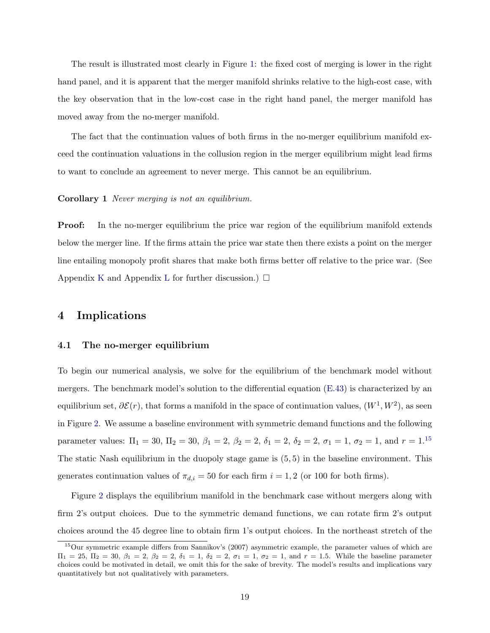The result is illustrated most clearly in Figure [1:](#page-7-0) the fixed cost of merging is lower in the right hand panel, and it is apparent that the merger manifold shrinks relative to the high-cost case, with the key observation that in the low-cost case in the right hand panel, the merger manifold has moved away from the no-merger manifold.

The fact that the continuation values of both firms in the no-merger equilibrium manifold exceed the continuation valuations in the collusion region in the merger equilibrium might lead firms to want to conclude an agreement to never merge. This cannot be an equilibrium.

Corollary 1 Never merging is not an equilibrium.

Proof: In the no-merger equilibrium the price war region of the equilibrium manifold extends below the merger line. If the firms attain the price war state then there exists a point on the merger line entailing monopoly profit shares that make both firms better off relative to the price war. (See Appendix [K](#page-46-0) and Appendix [L](#page-49-0) for further discussion.)  $\Box$ 

## 4 Implications

#### 4.1 The no-merger equilibrium

To begin our numerical analysis, we solve for the equilibrium of the benchmark model without mergers. The benchmark model's solution to the differential equation [\(E.43\)](#page-40-1) is characterized by an equilibrium set,  $\partial \mathcal{E}(r)$ , that forms a manifold in the space of continuation values,  $(W^1, W^2)$ , as seen in Figure [2.](#page-20-0) We assume a baseline environment with symmetric demand functions and the following parameter values:  $\Pi_1 = 30$ ,  $\Pi_2 = 30$ ,  $\beta_1 = 2$ ,  $\beta_2 = 2$ ,  $\delta_1 = 2$ ,  $\delta_2 = 2$ ,  $\sigma_1 = 1$ ,  $\sigma_2 = 1$ , and  $r = 1$ .<sup>[15](#page-19-0)</sup> The static Nash equilibrium in the duopoly stage game is (5, 5) in the baseline environment. This generates continuation values of  $\pi_{d,i} = 50$  for each firm  $i = 1, 2$  (or 100 for both firms).

Figure [2](#page-20-0) displays the equilibrium manifold in the benchmark case without mergers along with firm 2's output choices. Due to the symmetric demand functions, we can rotate firm 2's output choices around the 45 degree line to obtain firm 1's output choices. In the northeast stretch of the

<span id="page-19-0"></span><sup>&</sup>lt;sup>15</sup>Our symmetric example differs from Sannikov's (2007) asymmetric example, the parameter values of which are  $\Pi_1 = 25, \Pi_2 = 30, \beta_1 = 2, \beta_2 = 2, \delta_1 = 1, \delta_2 = 2, \sigma_1 = 1, \sigma_2 = 1, \text{ and } r = 1.5.$  While the baseline parameter choices could be motivated in detail, we omit this for the sake of brevity. The model's results and implications vary quantitatively but not qualitatively with parameters.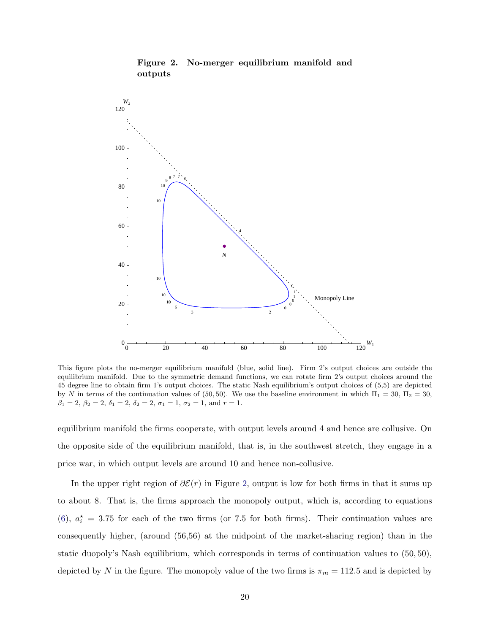<span id="page-20-0"></span>

Figure 2. No-merger equilibrium manifold and outputs

This figure plots the no-merger equilibrium manifold (blue, solid line). Firm 2's output choices are outside the equilibrium manifold. Due to the symmetric demand functions, we can rotate firm 2's output choices around the 45 degree line to obtain firm 1's output choices. The static Nash equilibrium's output choices of (5,5) are depicted by N in terms of the continuation values of (50, 50). We use the baseline environment in which  $\Pi_1 = 30$ ,  $\Pi_2 = 30$ ,  $\beta_1 = 2, \beta_2 = 2, \delta_1 = 2, \delta_2 = 2, \sigma_1 = 1, \sigma_2 = 1, \text{ and } r = 1.$ 

equilibrium manifold the firms cooperate, with output levels around 4 and hence are collusive. On the opposite side of the equilibrium manifold, that is, in the southwest stretch, they engage in a price war, in which output levels are around 10 and hence non-collusive.

In the upper right region of  $\partial \mathcal{E}(r)$  in Figure [2,](#page-20-0) output is low for both firms in that it sums up to about 8. That is, the firms approach the monopoly output, which is, according to equations [\(6\)](#page-10-1),  $a_i^* = 3.75$  for each of the two firms (or 7.5 for both firms). Their continuation values are consequently higher, (around (56,56) at the midpoint of the market-sharing region) than in the static duopoly's Nash equilibrium, which corresponds in terms of continuation values to (50, 50), depicted by N in the figure. The monopoly value of the two firms is  $\pi_m = 112.5$  and is depicted by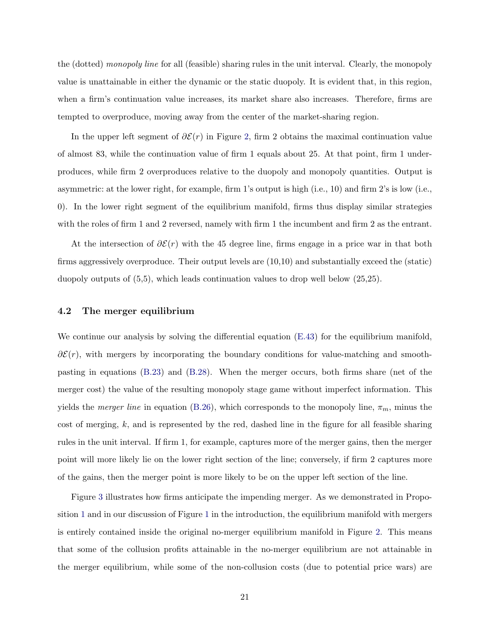the (dotted) monopoly line for all (feasible) sharing rules in the unit interval. Clearly, the monopoly value is unattainable in either the dynamic or the static duopoly. It is evident that, in this region, when a firm's continuation value increases, its market share also increases. Therefore, firms are tempted to overproduce, moving away from the center of the market-sharing region.

In the upper left segment of  $\partial \mathcal{E}(r)$  in Figure [2,](#page-20-0) firm 2 obtains the maximal continuation value of almost 83, while the continuation value of firm 1 equals about 25. At that point, firm 1 underproduces, while firm 2 overproduces relative to the duopoly and monopoly quantities. Output is asymmetric: at the lower right, for example, firm 1's output is high (i.e., 10) and firm 2's is low (i.e., 0). In the lower right segment of the equilibrium manifold, firms thus display similar strategies with the roles of firm 1 and 2 reversed, namely with firm 1 the incumbent and firm 2 as the entrant.

At the intersection of  $\partial \mathcal{E}(r)$  with the 45 degree line, firms engage in a price war in that both firms aggressively overproduce. Their output levels are (10,10) and substantially exceed the (static) duopoly outputs of (5,5), which leads continuation values to drop well below (25,25).

### 4.2 The merger equilibrium

We continue our analysis by solving the differential equation  $(E.43)$  for the equilibrium manifold,  $\partial \mathcal{E}(r)$ , with mergers by incorporating the boundary conditions for value-matching and smoothpasting in equations [\(B.23\)](#page-35-0) and [\(B.28\)](#page-36-0). When the merger occurs, both firms share (net of the merger cost) the value of the resulting monopoly stage game without imperfect information. This yields the *merger line* in equation [\(B.26\)](#page-36-1), which corresponds to the monopoly line,  $\pi_m$ , minus the cost of merging,  $k$ , and is represented by the red, dashed line in the figure for all feasible sharing rules in the unit interval. If firm 1, for example, captures more of the merger gains, then the merger point will more likely lie on the lower right section of the line; conversely, if firm 2 captures more of the gains, then the merger point is more likely to be on the upper left section of the line.

Figure [3](#page-22-0) illustrates how firms anticipate the impending merger. As we demonstrated in Proposition [1](#page-18-0) and in our discussion of Figure [1](#page-7-0) in the introduction, the equilibrium manifold with mergers is entirely contained inside the original no-merger equilibrium manifold in Figure [2.](#page-20-0) This means that some of the collusion profits attainable in the no-merger equilibrium are not attainable in the merger equilibrium, while some of the non-collusion costs (due to potential price wars) are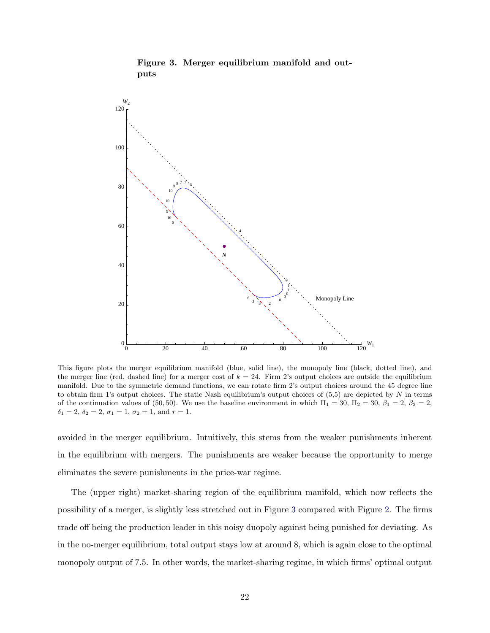<span id="page-22-0"></span>

Figure 3. Merger equilibrium manifold and outputs

This figure plots the merger equilibrium manifold (blue, solid line), the monopoly line (black, dotted line), and the merger line (red, dashed line) for a merger cost of  $k = 24$ . Firm 2's output choices are outside the equilibrium manifold. Due to the symmetric demand functions, we can rotate firm 2's output choices around the 45 degree line to obtain firm 1's output choices. The static Nash equilibrium's output choices of  $(5,5)$  are depicted by N in terms of the continuation values of (50, 50). We use the baseline environment in which  $\Pi_1 = 30$ ,  $\Pi_2 = 30$ ,  $\beta_1 = 2$ ,  $\beta_2 = 2$ ,  $\delta_1 = 2, \delta_2 = 2, \sigma_1 = 1, \sigma_2 = 1, \text{ and } r = 1.$ 

avoided in the merger equilibrium. Intuitively, this stems from the weaker punishments inherent in the equilibrium with mergers. The punishments are weaker because the opportunity to merge eliminates the severe punishments in the price-war regime.

The (upper right) market-sharing region of the equilibrium manifold, which now reflects the possibility of a merger, is slightly less stretched out in Figure [3](#page-22-0) compared with Figure [2.](#page-20-0) The firms trade off being the production leader in this noisy duopoly against being punished for deviating. As in the no-merger equilibrium, total output stays low at around 8, which is again close to the optimal monopoly output of 7.5. In other words, the market-sharing regime, in which firms' optimal output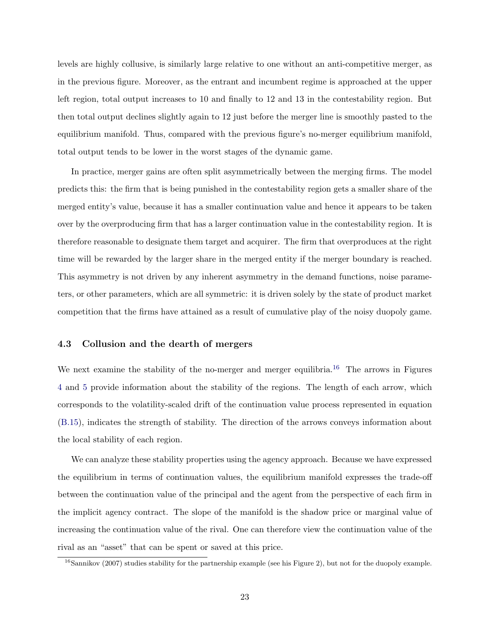levels are highly collusive, is similarly large relative to one without an anti-competitive merger, as in the previous figure. Moreover, as the entrant and incumbent regime is approached at the upper left region, total output increases to 10 and finally to 12 and 13 in the contestability region. But then total output declines slightly again to 12 just before the merger line is smoothly pasted to the equilibrium manifold. Thus, compared with the previous figure's no-merger equilibrium manifold, total output tends to be lower in the worst stages of the dynamic game.

In practice, merger gains are often split asymmetrically between the merging firms. The model predicts this: the firm that is being punished in the contestability region gets a smaller share of the merged entity's value, because it has a smaller continuation value and hence it appears to be taken over by the overproducing firm that has a larger continuation value in the contestability region. It is therefore reasonable to designate them target and acquirer. The firm that overproduces at the right time will be rewarded by the larger share in the merged entity if the merger boundary is reached. This asymmetry is not driven by any inherent asymmetry in the demand functions, noise parameters, or other parameters, which are all symmetric: it is driven solely by the state of product market competition that the firms have attained as a result of cumulative play of the noisy duopoly game.

### 4.3 Collusion and the dearth of mergers

We next examine the stability of the no-merger and merger equilibria.<sup>[16](#page-23-0)</sup> The arrows in Figures [4](#page-24-0) and [5](#page-25-0) provide information about the stability of the regions. The length of each arrow, which corresponds to the volatility-scaled drift of the continuation value process represented in equation [\(B.15\)](#page-33-0), indicates the strength of stability. The direction of the arrows conveys information about the local stability of each region.

We can analyze these stability properties using the agency approach. Because we have expressed the equilibrium in terms of continuation values, the equilibrium manifold expresses the trade-off between the continuation value of the principal and the agent from the perspective of each firm in the implicit agency contract. The slope of the manifold is the shadow price or marginal value of increasing the continuation value of the rival. One can therefore view the continuation value of the rival as an "asset" that can be spent or saved at this price.

<span id="page-23-0"></span> $16$ Sannikov (2007) studies stability for the partnership example (see his Figure 2), but not for the duopoly example.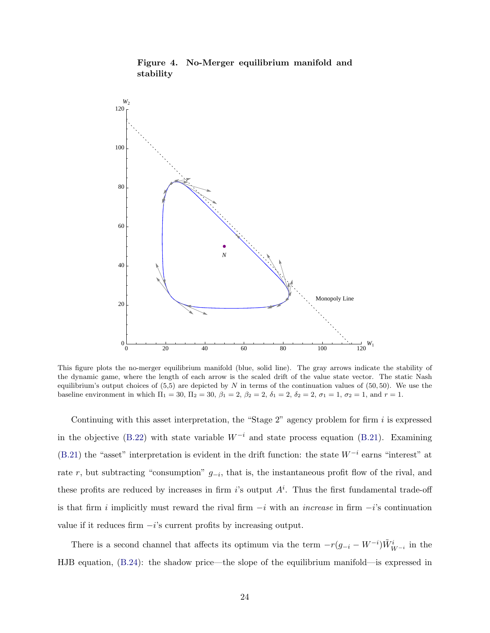<span id="page-24-0"></span>

Figure 4. No-Merger equilibrium manifold and stability

This figure plots the no-merger equilibrium manifold (blue, solid line). The gray arrows indicate the stability of the dynamic game, where the length of each arrow is the scaled drift of the value state vector. The static Nash equilibrium's output choices of  $(5,5)$  are depicted by N in terms of the continuation values of  $(50, 50)$ . We use the baseline environment in which  $\Pi_1 = 30$ ,  $\Pi_2 = 30$ ,  $\beta_1 = 2$ ,  $\beta_2 = 2$ ,  $\delta_1 = 2$ ,  $\delta_2 = 2$ ,  $\sigma_1 = 1$ ,  $\sigma_2 = 1$ , and  $r = 1$ .

Continuing with this asset interpretation, the "Stage  $2$ " agency problem for firm i is expressed in the objective [\(B.22\)](#page-35-1) with state variable  $W^{-i}$  and state process equation [\(B.21\)](#page-35-2). Examining  $(B.21)$  the "asset" interpretation is evident in the drift function: the state  $W^{-i}$  earns "interest" at rate r, but subtracting "consumption"  $g_{-i}$ , that is, the instantaneous profit flow of the rival, and these profits are reduced by increases in firm i's output  $A^i$ . Thus the first fundamental trade-off is that firm i implicitly must reward the rival firm  $-i$  with an *increase* in firm  $-i$ 's continuation value if it reduces firm  $-i$ 's current profits by increasing output.

There is a second channel that affects its optimum via the term  $-r(g_{-i} - W^{-i})\tilde{W}_{W^{-i}}^i$  in the HJB equation, [\(B.24\)](#page-35-3): the shadow price—the slope of the equilibrium manifold—is expressed in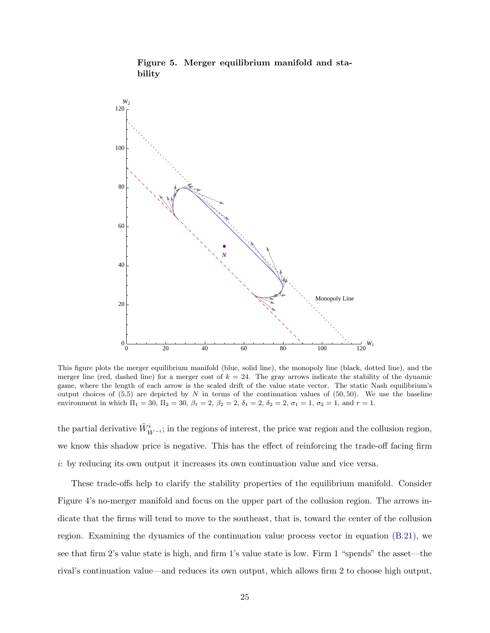<span id="page-25-0"></span>

Figure 5. Merger equilibrium manifold and stability

This figure plots the merger equilibrium manifold (blue, solid line), the monopoly line (black, dotted line), and the merger line (red, dashed line) for a merger cost of  $k = 24$ . The gray arrows indicate the stability of the dynamic game, where the length of each arrow is the scaled drift of the value state vector. The static Nash equilibrium's output choices of  $(5,5)$  are depicted by N in terms of the continuation values of  $(50,50)$ . We use the baseline environment in which  $\Pi_1 = 30$ ,  $\Pi_2 = 30$ ,  $\beta_1 = 2$ ,  $\beta_2 = 2$ ,  $\delta_1 = 2$ ,  $\delta_2 = 2$ ,  $\sigma_1 = 1$ ,  $\sigma_2 = 1$ , and  $r = 1$ .

the partial derivative  $\tilde{W}_{W-i}^i$ ; in the regions of interest, the price war region and the collusion region, we know this shadow price is negative. This has the effect of reinforcing the trade-off facing firm i: by reducing its own output it increases its own continuation value and vice versa.

These trade-offs help to clarify the stability properties of the equilibrium manifold. Consider Figure [4'](#page-24-0)s no-merger manifold and focus on the upper part of the collusion region. The arrows indicate that the firms will tend to move to the southeast, that is, toward the center of the collusion region. Examining the dynamics of the continuation value process vector in equation [\(B.21\)](#page-35-2), we see that firm 2's value state is high, and firm 1's value state is low. Firm 1 "spends" the asset—the rival's continuation value—and reduces its own output, which allows firm 2 to choose high output,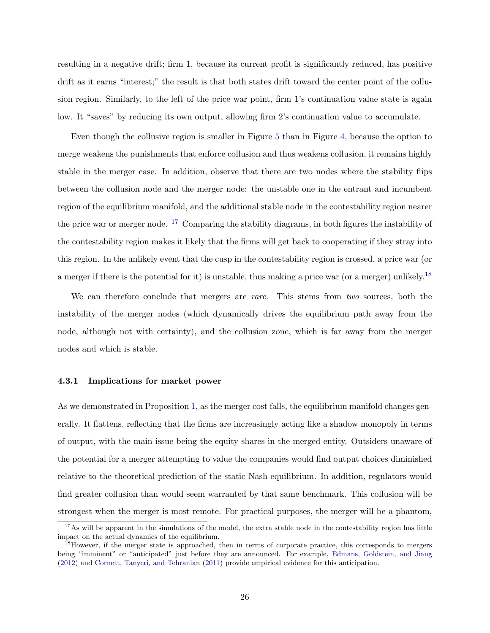resulting in a negative drift; firm 1, because its current profit is significantly reduced, has positive drift as it earns "interest;" the result is that both states drift toward the center point of the collusion region. Similarly, to the left of the price war point, firm 1's continuation value state is again low. It "saves" by reducing its own output, allowing firm 2's continuation value to accumulate.

Even though the collusive region is smaller in Figure [5](#page-25-0) than in Figure [4,](#page-24-0) because the option to merge weakens the punishments that enforce collusion and thus weakens collusion, it remains highly stable in the merger case. In addition, observe that there are two nodes where the stability flips between the collusion node and the merger node: the unstable one in the entrant and incumbent region of the equilibrium manifold, and the additional stable node in the contestability region nearer the price war or merger node. [17](#page-26-0) Comparing the stability diagrams, in both figures the instability of the contestability region makes it likely that the firms will get back to cooperating if they stray into this region. In the unlikely event that the cusp in the contestability region is crossed, a price war (or a merger if there is the potential for it) is unstable, thus making a price war (or a merger) unlikely.[18](#page-26-1)

We can therefore conclude that mergers are *rare*. This stems from two sources, both the instability of the merger nodes (which dynamically drives the equilibrium path away from the node, although not with certainty), and the collusion zone, which is far away from the merger nodes and which is stable.

### 4.3.1 Implications for market power

As we demonstrated in Proposition [1,](#page-18-0) as the merger cost falls, the equilibrium manifold changes generally. It flattens, reflecting that the firms are increasingly acting like a shadow monopoly in terms of output, with the main issue being the equity shares in the merged entity. Outsiders unaware of the potential for a merger attempting to value the companies would find output choices diminished relative to the theoretical prediction of the static Nash equilibrium. In addition, regulators would find greater collusion than would seem warranted by that same benchmark. This collusion will be strongest when the merger is most remote. For practical purposes, the merger will be a phantom,

<span id="page-26-0"></span> $17\text{As will be apparent in the simulations of the model, the extra stable node in the contestability region has little.}$ impact on the actual dynamics of the equilibrium.

<span id="page-26-1"></span><sup>&</sup>lt;sup>18</sup>However, if the merger state is approached, then in terms of corporate practice, this corresponds to mergers being "imminent" or "anticipated" just before they are announced. For example, [Edmans, Goldstein, and Jiang](#page-30-6) [\(2012\)](#page-30-6) and [Cornett, Tanyeri, and Tehranian](#page-30-7) [\(2011\)](#page-30-7) provide empirical evidence for this anticipation.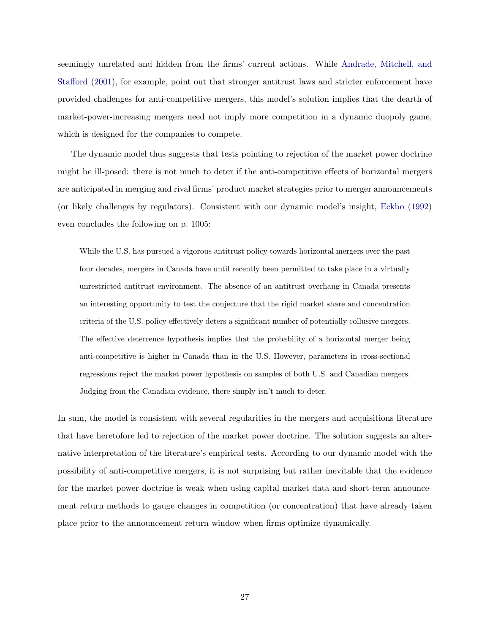seemingly unrelated and hidden from the firms' current actions. While [Andrade, Mitchell, and](#page-30-8) [Stafford](#page-30-8) [\(2001\)](#page-30-8), for example, point out that stronger antitrust laws and stricter enforcement have provided challenges for anti-competitive mergers, this model's solution implies that the dearth of market-power-increasing mergers need not imply more competition in a dynamic duopoly game, which is designed for the companies to compete.

The dynamic model thus suggests that tests pointing to rejection of the market power doctrine might be ill-posed: there is not much to deter if the anti-competitive effects of horizontal mergers are anticipated in merging and rival firms' product market strategies prior to merger announcements (or likely challenges by regulators). Consistent with our dynamic model's insight, [Eckbo](#page-30-9) [\(1992\)](#page-30-9) even concludes the following on p. 1005:

While the U.S. has pursued a vigorous antitrust policy towards horizontal mergers over the past four decades, mergers in Canada have until recently been permitted to take place in a virtually unrestricted antitrust environment. The absence of an antitrust overhang in Canada presents an interesting opportunity to test the conjecture that the rigid market share and concentration criteria of the U.S. policy effectively deters a significant number of potentially collusive mergers. The effective deterrence hypothesis implies that the probability of a horizontal merger being anti-competitive is higher in Canada than in the U.S. However, parameters in cross-sectional regressions reject the market power hypothesis on samples of both U.S. and Canadian mergers. Judging from the Canadian evidence, there simply isn't much to deter.

In sum, the model is consistent with several regularities in the mergers and acquisitions literature that have heretofore led to rejection of the market power doctrine. The solution suggests an alternative interpretation of the literature's empirical tests. According to our dynamic model with the possibility of anti-competitive mergers, it is not surprising but rather inevitable that the evidence for the market power doctrine is weak when using capital market data and short-term announcement return methods to gauge changes in competition (or concentration) that have already taken place prior to the announcement return window when firms optimize dynamically.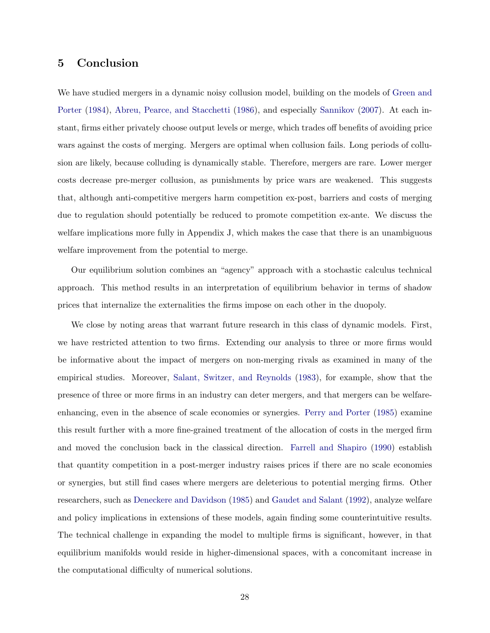## 5 Conclusion

We have studied mergers in a dynamic noisy collusion model, building on the models of [Green and](#page-31-1) [Porter](#page-31-1) [\(1984\)](#page-31-1), [Abreu, Pearce, and Stacchetti](#page-30-1) [\(1986\)](#page-30-1), and especially [Sannikov](#page-31-0) [\(2007\)](#page-31-0). At each instant, firms either privately choose output levels or merge, which trades off benefits of avoiding price wars against the costs of merging. Mergers are optimal when collusion fails. Long periods of collusion are likely, because colluding is dynamically stable. Therefore, mergers are rare. Lower merger costs decrease pre-merger collusion, as punishments by price wars are weakened. This suggests that, although anti-competitive mergers harm competition ex-post, barriers and costs of merging due to regulation should potentially be reduced to promote competition ex-ante. We discuss the welfare implications more fully in Appendix J, which makes the case that there is an unambiguous welfare improvement from the potential to merge.

Our equilibrium solution combines an "agency" approach with a stochastic calculus technical approach. This method results in an interpretation of equilibrium behavior in terms of shadow prices that internalize the externalities the firms impose on each other in the duopoly.

We close by noting areas that warrant future research in this class of dynamic models. First, we have restricted attention to two firms. Extending our analysis to three or more firms would be informative about the impact of mergers on non-merging rivals as examined in many of the empirical studies. Moreover, [Salant, Switzer, and Reynolds](#page-31-9) [\(1983\)](#page-31-9), for example, show that the presence of three or more firms in an industry can deter mergers, and that mergers can be welfareenhancing, even in the absence of scale economies or synergies. [Perry and Porter](#page-31-10) [\(1985\)](#page-31-10) examine this result further with a more fine-grained treatment of the allocation of costs in the merged firm and moved the conclusion back in the classical direction. [Farrell and Shapiro](#page-30-10) [\(1990\)](#page-30-10) establish that quantity competition in a post-merger industry raises prices if there are no scale economies or synergies, but still find cases where mergers are deleterious to potential merging firms. Other researchers, such as [Deneckere and Davidson](#page-30-11) [\(1985\)](#page-30-11) and [Gaudet and Salant](#page-31-11) [\(1992\)](#page-31-11), analyze welfare and policy implications in extensions of these models, again finding some counterintuitive results. The technical challenge in expanding the model to multiple firms is significant, however, in that equilibrium manifolds would reside in higher-dimensional spaces, with a concomitant increase in the computational difficulty of numerical solutions.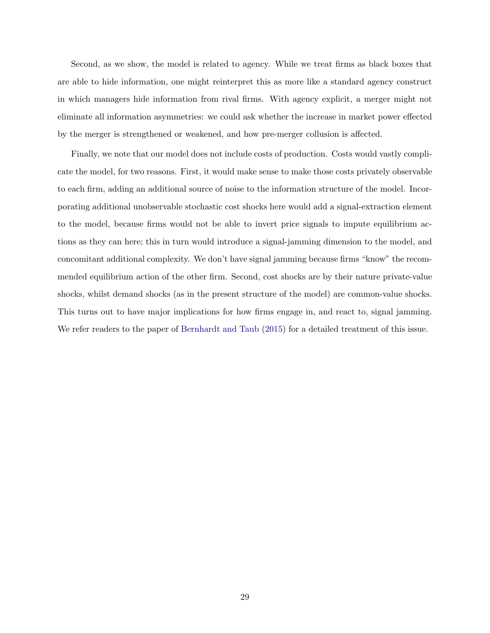Second, as we show, the model is related to agency. While we treat firms as black boxes that are able to hide information, one might reinterpret this as more like a standard agency construct in which managers hide information from rival firms. With agency explicit, a merger might not eliminate all information asymmetries: we could ask whether the increase in market power effected by the merger is strengthened or weakened, and how pre-merger collusion is affected.

Finally, we note that our model does not include costs of production. Costs would vastly complicate the model, for two reasons. First, it would make sense to make those costs privately observable to each firm, adding an additional source of noise to the information structure of the model. Incorporating additional unobservable stochastic cost shocks here would add a signal-extraction element to the model, because firms would not be able to invert price signals to impute equilibrium actions as they can here; this in turn would introduce a signal-jamming dimension to the model, and concomitant additional complexity. We don't have signal jamming because firms "know" the recommended equilibrium action of the other firm. Second, cost shocks are by their nature private-value shocks, whilst demand shocks (as in the present structure of the model) are common-value shocks. This turns out to have major implications for how firms engage in, and react to, signal jamming. We refer readers to the paper of [Bernhardt and Taub](#page-30-12) [\(2015\)](#page-30-12) for a detailed treatment of this issue.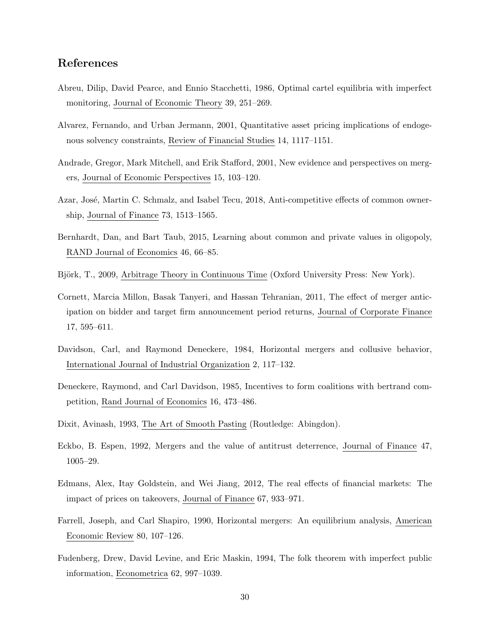## References

- <span id="page-30-1"></span>Abreu, Dilip, David Pearce, and Ennio Stacchetti, 1986, Optimal cartel equilibria with imperfect monitoring, Journal of Economic Theory 39, 251–269.
- <span id="page-30-3"></span>Alvarez, Fernando, and Urban Jermann, 2001, Quantitative asset pricing implications of endogenous solvency constraints, Review of Financial Studies 14, 1117–1151.
- <span id="page-30-8"></span>Andrade, Gregor, Mark Mitchell, and Erik Stafford, 2001, New evidence and perspectives on mergers, Journal of Economic Perspectives 15, 103–120.
- <span id="page-30-4"></span>Azar, José, Martin C. Schmalz, and Isabel Tecu, 2018, Anti-competitive effects of common ownership, Journal of Finance 73, 1513–1565.
- <span id="page-30-12"></span>Bernhardt, Dan, and Bart Taub, 2015, Learning about common and private values in oligopoly, RAND Journal of Economics 46, 66–85.
- <span id="page-30-5"></span>Björk, T., 2009, Arbitrage Theory in Continuous Time (Oxford University Press: New York).
- <span id="page-30-7"></span>Cornett, Marcia Millon, Basak Tanyeri, and Hassan Tehranian, 2011, The effect of merger anticipation on bidder and target firm announcement period returns, Journal of Corporate Finance 17, 595–611.
- <span id="page-30-0"></span>Davidson, Carl, and Raymond Deneckere, 1984, Horizontal mergers and collusive behavior, International Journal of Industrial Organization 2, 117–132.
- <span id="page-30-11"></span>Deneckere, Raymond, and Carl Davidson, 1985, Incentives to form coalitions with bertrand competition, Rand Journal of Economics 16, 473–486.
- <span id="page-30-13"></span>Dixit, Avinash, 1993, The Art of Smooth Pasting (Routledge: Abingdon).
- <span id="page-30-9"></span>Eckbo, B. Espen, 1992, Mergers and the value of antitrust deterrence, Journal of Finance 47, 1005–29.
- <span id="page-30-6"></span>Edmans, Alex, Itay Goldstein, and Wei Jiang, 2012, The real effects of financial markets: The impact of prices on takeovers, Journal of Finance 67, 933–971.
- <span id="page-30-10"></span>Farrell, Joseph, and Carl Shapiro, 1990, Horizontal mergers: An equilibrium analysis, American Economic Review 80, 107–126.
- <span id="page-30-2"></span>Fudenberg, Drew, David Levine, and Eric Maskin, 1994, The folk theorem with imperfect public information, Econometrica 62, 997–1039.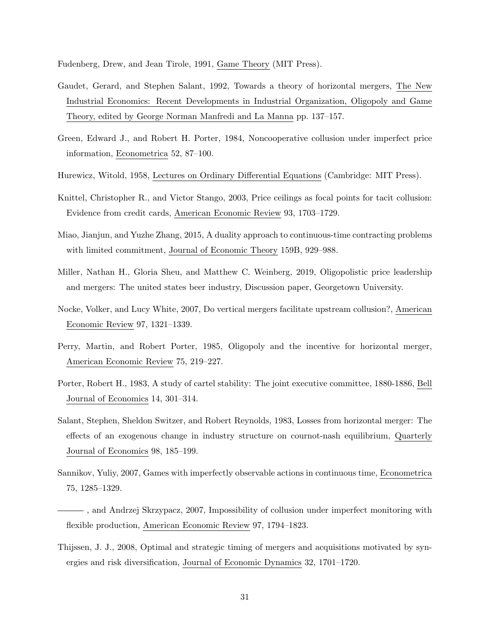<span id="page-31-13"></span>Fudenberg, Drew, and Jean Tirole, 1991, Game Theory (MIT Press).

- <span id="page-31-11"></span>Gaudet, Gerard, and Stephen Salant, 1992, Towards a theory of horizontal mergers, The New Industrial Economics: Recent Developments in Industrial Organization, Oligopoly and Game Theory, edited by George Norman Manfredi and La Manna pp. 137–157.
- <span id="page-31-1"></span>Green, Edward J., and Robert H. Porter, 1984, Noncooperative collusion under imperfect price information, Econometrica 52, 87–100.
- <span id="page-31-12"></span>Hurewicz, Witold, 1958, Lectures on Ordinary Differential Equations (Cambridge: MIT Press).
- <span id="page-31-6"></span>Knittel, Christopher R., and Victor Stango, 2003, Price ceilings as focal points for tacit collusion: Evidence from credit cards, American Economic Review 93, 1703–1729.
- <span id="page-31-8"></span>Miao, Jianjun, and Yuzhe Zhang, 2015, A duality approach to continuous-time contracting problems with limited commitment, Journal of Economic Theory 159B, 929–988.
- <span id="page-31-4"></span>Miller, Nathan H., Gloria Sheu, and Matthew C. Weinberg, 2019, Oligopolistic price leadership and mergers: The united states beer industry, Discussion paper, Georgetown University.
- <span id="page-31-2"></span>Nocke, Volker, and Lucy White, 2007, Do vertical mergers facilitate upstream collusion?, American Economic Review 97, 1321–1339.
- <span id="page-31-10"></span>Perry, Martin, and Robert Porter, 1985, Oligopoly and the incentive for horizontal merger, American Economic Review 75, 219–227.
- <span id="page-31-5"></span>Porter, Robert H., 1983, A study of cartel stability: The joint executive committee, 1880-1886, Bell Journal of Economics 14, 301–314.
- <span id="page-31-9"></span>Salant, Stephen, Sheldon Switzer, and Robert Reynolds, 1983, Losses from horizontal merger: The effects of an exogenous change in industry structure on cournot-nash equilibrium, Quarterly Journal of Economics 98, 185–199.
- <span id="page-31-0"></span>Sannikov, Yuliy, 2007, Games with imperfectly observable actions in continuous time, Econometrica 75, 1285–1329.
- <span id="page-31-7"></span>, and Andrzej Skrzypacz, 2007, Impossibility of collusion under imperfect monitoring with flexible production, American Economic Review 97, 1794–1823.
- <span id="page-31-3"></span>Thijssen, J. J., 2008, Optimal and strategic timing of mergers and acquisitions motivated by synergies and risk diversification, Journal of Economic Dynamics 32, 1701–1720.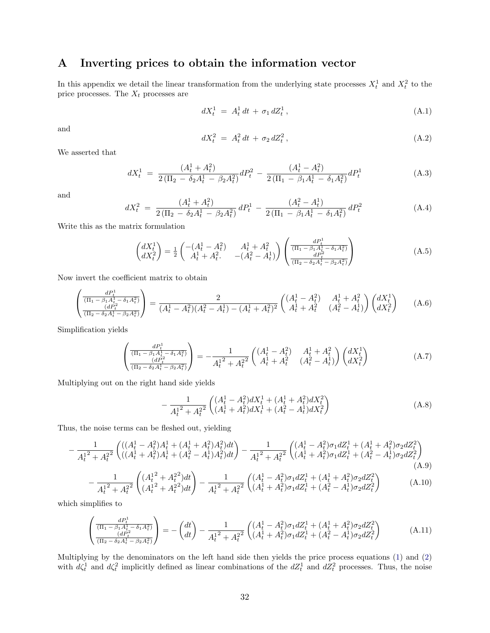# <span id="page-32-0"></span>A Inverting prices to obtain the information vector

In this appendix we detail the linear transformation from the underlying state processes  $X_t^1$  and  $X_t^2$  to the price processes. The  $X_t$  processes are

$$
dX_t^1 = A_t^1 dt + \sigma_1 dZ_t^1, \qquad (A.1)
$$

and

$$
dX_t^2 = A_t^2 dt + \sigma_2 dZ_t^2, \qquad (A.2)
$$

We asserted that

$$
dX_t^1 = \frac{(A_t^1 + A_t^2)}{2(\Pi_2 - \delta_2 A_t^1 - \beta_2 A_t^2)} dP_t^2 - \frac{(A_t^1 - A_t^2)}{2(\Pi_1 - \beta_1 A_t^1 - \delta_1 A_t^2)} dP_t^1
$$
\n(A.3)

and

$$
dX_t^2 = \frac{(A_t^1 + A_t^2)}{2(\Pi_2 - \delta_2 A_t^1 - \beta_2 A_t^2)} dP_t^1 - \frac{(A_t^2 - A_t^1)}{2(\Pi_1 - \beta_1 A_t^1 - \delta_1 A_t^2)} dP_t^2
$$
 (A.4)

Write this as the matrix formulation

$$
\begin{pmatrix} dX_t^1 \\ dX_t^2 \end{pmatrix} = \frac{1}{2} \begin{pmatrix} -(A_t^1 - A_t^2) & A_t^1 + A_t^2 \\ A_t^1 + A_t^2 & -(A_t^2 - A_t^1) \end{pmatrix} \begin{pmatrix} \frac{dP_t^1}{(\Pi_1 - \beta_1 A_t^1 - \delta_1 A_t^2)} \\ \frac{dP_t^2}{(\Pi_2 - \delta_2 A_t^1 - \beta_2 A_t^2)} \end{pmatrix}
$$
(A.5)

Now invert the coefficient matrix to obtain

$$
\left(\frac{dP_t^1}{(\Pi_1 - \beta_1 A_t^1 - \delta_1 A_t^2)}\right) = \frac{2}{(A_t^1 - A_t^2)(A_t^2 - A_t^1) - (A_t^1 + A_t^2)^2} \begin{pmatrix} (A_t^1 - A_t^2) & A_t^1 + A_t^2 \ A_t^1 + A_t^2 & (A_t^2 - A_t^1) \end{pmatrix} \begin{pmatrix} dX_t^1 \ dX_t^2 \end{pmatrix} \tag{A.6}
$$

Simplification yields

$$
\begin{pmatrix}\n\frac{dP_t^1}{(\Pi_1 - \beta_1 A_t^1 - \delta_1 A_t^2)} \\
\frac{(dP_t^2}{(\Pi_2 - \delta_2 A_t^1 - \beta_2 A_t^2)}\n\end{pmatrix} = -\frac{1}{A_t^{1^2} + A_t^{2^2}} \begin{pmatrix}\n(A_t^1 - A_t^2) & A_t^1 + A_t^2 \\
A_t^1 + A_t^2 & (A_t^2 - A_t^1)\n\end{pmatrix} \begin{pmatrix}\ndX_t^1 \\
dX_t^2\n\end{pmatrix}
$$
\n(A.7)

Multiplying out on the right hand side yields

$$
-\frac{1}{A_t^{12} + A_t^{22}} \begin{pmatrix} (A_t^1 - A_t^2) dX_t^1 + (A_t^1 + A_t^2) dX_t^2 \\ (A_t^1 + A_t^2) dX_t^1 + (A_t^2 - A_t^1) dX_t^2 \end{pmatrix}
$$
 (A.8)

Thus, the noise terms can be fleshed out, yielding

$$
-\frac{1}{A_t^{12} + A_t^{22}} \left( \left( (A_t^1 - A_t^2) A_t^1 + (A_t^1 + A_t^2) A_t^2 \right) dt \right) - \frac{1}{A_t^{12} + A_t^{22}} \left( \left( (A_t^1 - A_t^2) \sigma_1 d Z_t^1 + (A_t^1 + A_t^2) \sigma_2 d Z_t^2 \right) \right) - \frac{1}{A_t^{12} + A_t^{22}} \left( \left( (A_t^1 + A_t^2) A_t^1 + (A_t^2 - A_t^1) A_t^2 \right) dt \right)
$$
\n(A.9)

$$
-\frac{1}{A_t^{1^2} + A_t^{2^2}} \left( \frac{(A_t^{1^2} + A_t^{2^2})dt}{(A_t^{1^2} + A_t^{2^2})dt} \right) - \frac{1}{A_t^{1^2} + A_t^{2^2}} \left( \frac{(A_t^{1^2} + A_t^{2^2})\sigma_1 dZ_t^1 + (A_t^{1^2} + A_t^{2^2})\sigma_2 dZ_t^2}{(A_t^{1^2} + A_t^{2^2})\sigma_1 dZ_t^1 + (A_t^{2^2} - A_t^{1^2})\sigma_2 dZ_t^2} \right) \tag{A.10}
$$

which simplifies to

$$
\begin{pmatrix}\n\frac{dP_t^1}{(\Pi_1 - \beta_1 A_t^1 - \delta_1 A_t^2)} \\
\frac{(dP_t^2}{(\Pi_2 - \delta_2 A_t^1 - \beta_2 A_t^2)}\n\end{pmatrix} = -\begin{pmatrix}\ndt \\
dt\n\end{pmatrix} - \frac{1}{A_t^{1^2} + A_t^{2^2}} \begin{pmatrix}\n(A_t^1 - A_t^2) \sigma_1 dZ_t^1 + (A_t^1 + A_t^2) \sigma_2 dZ_t^2 \\
(A_t^1 + A_t^2) \sigma_1 dZ_t^1 + (A_t^2 - A_t^1) \sigma_2 dZ_t^2\n\end{pmatrix}
$$
\n(A.11)

Multiplying by the denominators on the left hand side then yields the price process equations [\(1\)](#page-8-2) and [\(2\)](#page-8-3) with  $d\zeta_t^1$  and  $d\zeta_t^2$  implicitly defined as linear combinations of the  $dZ_t^1$  and  $dZ_t^2$  processes. Thus, the noise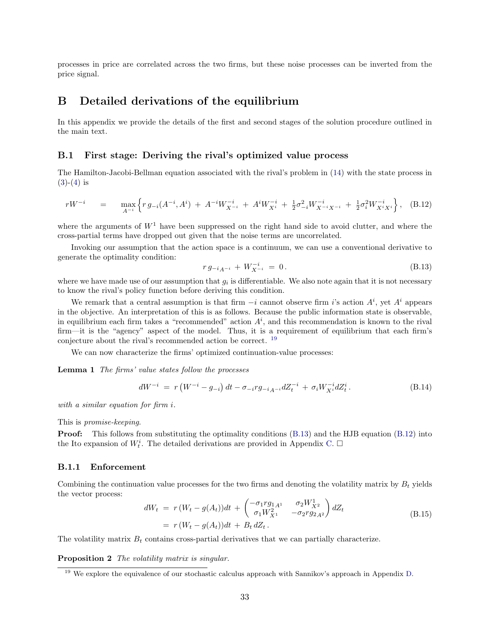processes in price are correlated across the two firms, but these noise processes can be inverted from the price signal.

## <span id="page-33-1"></span>B Detailed derivations of the equilibrium

In this appendix we provide the details of the first and second stages of the solution procedure outlined in the main text.

### B.1 First stage: Deriving the rival's optimized value process

The Hamilton-Jacobi-Bellman equation associated with the rival's problem in [\(14\)](#page-16-1) with the state process in  $(3)-(4)$  $(3)-(4)$  $(3)-(4)$  is

$$
rW^{-i} = \max_{A^{-i}} \left\{ r g_{-i}(A^{-i}, A^{i}) + A^{-i} W_{X^{-i}}^{-i} + A^{i} W_{X^{i}}^{-i} + \frac{1}{2} \sigma_{-i}^{2} W_{X^{-i} X^{-i}}^{-i} + \frac{1}{2} \sigma_{i}^{2} W_{X^{i} X^{i}}^{-i} \right\}, \quad (B.12)
$$

where the arguments of  $W<sup>1</sup>$  have been suppressed on the right hand side to avoid clutter, and where the cross-partial terms have dropped out given that the noise terms are uncorrelated.

Invoking our assumption that the action space is a continuum, we can use a conventional derivative to generate the optimality condition:

<span id="page-33-7"></span><span id="page-33-4"></span><span id="page-33-3"></span>
$$
r g_{-i}{}_{A^{-i}} + W_{X^{-i}}^{-i} = 0. \tag{B.13}
$$

where we have made use of our assumption that  $g_i$  is differentiable. We also note again that it is not necessary to know the rival's policy function before deriving this condition.

We remark that a central assumption is that firm  $-i$  cannot observe firm i's action  $A^i$ , yet  $A^i$  appears in the objective. An interpretation of this is as follows. Because the public information state is observable, in equilibrium each firm takes a "recommended" action  $A<sup>i</sup>$ , and this recommendation is known to the rival firm—it is the "agency" aspect of the model. Thus, it is a requirement of equilibrium that each firm's conjecture about the rival's recommended action be correct. [19](#page-33-2)

We can now characterize the firms' optimized continuation-value processes:

Lemma 1 The firms' value states follow the processes

<span id="page-33-6"></span>
$$
dW^{-i} = r \left( W^{-i} - g_{-i} \right) dt - \sigma_{-i} r g_{-i} A^{-i} dZ_t^{-i} + \sigma_i W_{X^i}^{-i} dZ_t^i.
$$
 (B.14)

with a similar equation for firm i.

This is promise-keeping.

**Proof:** This follows from substituting the optimality conditions [\(B.13\)](#page-33-3) and the HJB equation [\(B.12\)](#page-33-4) into the Ito expansion of  $W_t^i$ . The detailed derivations are provided in Appendix [C.](#page-37-0)  $\Box$ 

#### B.1.1 Enforcement

Combining the continuation value processes for the two firms and denoting the volatility matrix by  $B_t$  yields the vector process:

<span id="page-33-0"></span>
$$
dW_t = r(W_t - g(A_t))dt + \begin{pmatrix} -\sigma_1 r g_{1A^1} & \sigma_2 W_{X^2}^1 \\ \sigma_1 W_{X^1}^2 & -\sigma_2 r g_{2A^2} \end{pmatrix} dZ_t
$$
  
=  $r(W_t - g(A_t))dt + B_t dZ_t$ . (B.15)

<span id="page-33-5"></span>The volatility matrix  $B_t$  contains cross-partial derivatives that we can partially characterize.

Proposition 2 The volatility matrix is singular.

<span id="page-33-2"></span><sup>&</sup>lt;sup>19</sup> We explore the equivalence of our stochastic calculus approach with Sannikov's approach in Appendix [D.](#page-38-0)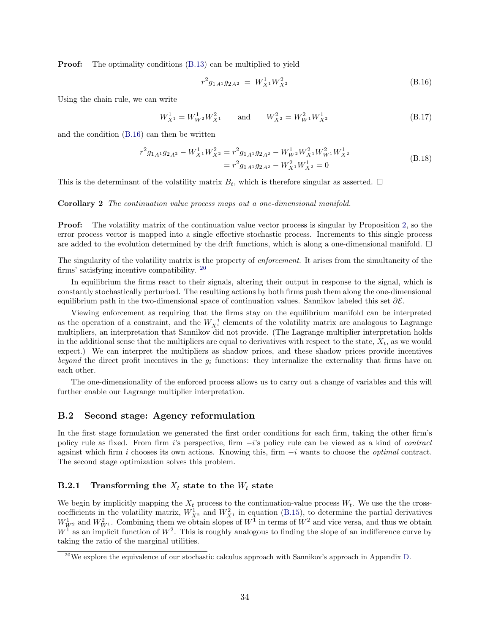**Proof:** The optimality conditions  $(B.13)$  can be multiplied to yield

<span id="page-34-0"></span>
$$
r^2 g_{1A^1} g_{2A^2} = W_{X^1}^1 W_{X^2}^2
$$
\n(B.16)

Using the chain rule, we can write

<span id="page-34-2"></span>
$$
W_{X^1}^1 = W_{W^2}^1 W_{X^1}^2 \qquad \text{and} \qquad W_{X^2}^2 = W_{W^1}^2 W_{X^2}^1 \tag{B.17}
$$

and the condition [\(B.16\)](#page-34-0) can then be written

$$
r^{2}g_{1A^{1}}g_{2A^{2}} - W_{X^{1}}^{1}W_{X^{2}}^{2} = r^{2}g_{1A^{1}}g_{2A^{2}} - W_{W^{2}}^{1}W_{X^{1}}^{2}W_{W^{1}}^{2}W_{X^{2}}^{1}
$$
  
= 
$$
r^{2}g_{1A^{1}}g_{2A^{2}} - W_{X^{1}}^{2}W_{X^{2}}^{1} = 0
$$
 (B.18)

This is the determinant of the volatility matrix  $B_t$ , which is therefore singular as asserted.  $\square$ 

Corollary 2 The continuation value process maps out a one-dimensional manifold.

**Proof:** The volatility matrix of the continuation value vector process is singular by Proposition [2,](#page-33-5) so the error process vector is mapped into a single effective stochastic process. Increments to this single process are added to the evolution determined by the drift functions, which is along a one-dimensional manifold.  $\Box$ 

The singularity of the volatility matrix is the property of enforcement. It arises from the simultaneity of the firms' satisfying incentive compatibility. [20](#page-34-1)

In equilibrium the firms react to their signals, altering their output in response to the signal, which is constantly stochastically perturbed. The resulting actions by both firms push them along the one-dimensional equilibrium path in the two-dimensional space of continuation values. Sannikov labeled this set  $\partial \mathcal{E}$ .

Viewing enforcement as requiring that the firms stay on the equilibrium manifold can be interpreted as the operation of a constraint, and the  $W_{X_i}^{-i}$  elements of the volatility matrix are analogous to Lagrange multipliers, an interpretation that Sannikov did not provide. (The Lagrange multiplier interpretation holds in the additional sense that the multipliers are equal to derivatives with respect to the state,  $X_t$ , as we would expect.) We can interpret the multipliers as shadow prices, and these shadow prices provide incentives beyond the direct profit incentives in the  $g_i$  functions: they internalize the externality that firms have on each other.

The one-dimensionality of the enforced process allows us to carry out a change of variables and this will further enable our Lagrange multiplier interpretation.

## B.2 Second stage: Agency reformulation

In the first stage formulation we generated the first order conditions for each firm, taking the other firm's policy rule as fixed. From firm i's perspective, firm −i's policy rule can be viewed as a kind of contract against which firm i chooses its own actions. Knowing this, firm  $-i$  wants to choose the *optimal* contract. The second stage optimization solves this problem.

### **B.2.1** Transforming the  $X_t$  state to the  $W_t$  state

We begin by implicitly mapping the  $X_t$  process to the continuation-value process  $W_t$ . We use the the crosscoefficients in the volatility matrix,  $W_{X^2}^1$  and  $W_{X^1}^2$  in equation [\(B.15\)](#page-33-0), to determine the partial derivatives  $W_{W^2}^1$  and  $W_{W^1}^2$ . Combining them we obtain slopes of  $W^1$  in terms of  $W^2$  and vice versa, and thus we obtain  $W<sup>1</sup>$  as an implicit function of  $W<sup>2</sup>$ . This is roughly analogous to finding the slope of an indifference curve by taking the ratio of the marginal utilities.

<span id="page-34-1"></span><sup>&</sup>lt;sup>20</sup>We explore the equivalence of our stochastic calculus approach with Sannikov's approach in Appendix [D.](#page-38-0)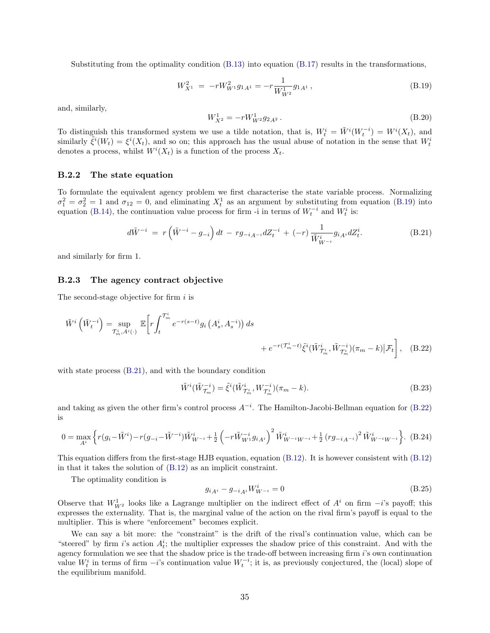Substituting from the optimality condition [\(B.13\)](#page-33-3) into equation [\(B.17\)](#page-34-2) results in the transformations,

<span id="page-35-4"></span>
$$
W_{X^1}^2 = -rW_{W^1}^2g_{1A^1} = -r\frac{1}{W_{W^2}^1}g_{1A^1},\tag{B.19}
$$

and, similarly,

<span id="page-35-6"></span>
$$
W_{X^2}^1 = -rW_{W^2}^1 g_{2A^2} \,. \tag{B.20}
$$

To distinguish this transformed system we use a tilde notation, that is,  $W_t^i = \tilde{W}^i(W_t^{-i}) = W^i(X_t)$ , and similarly  $\tilde{\zeta}^{i}(W_t) = \xi^{i}(X_t)$ , and so on; this approach has the usual abuse of notation in the sense that  $W_t^i$ denotes a process, whilst  $W^{i}(X_t)$  is a function of the process  $X_t$ .

### B.2.2 The state equation

To formulate the equivalent agency problem we first characterise the state variable process. Normalizing  $\sigma_1^2 = \sigma_2^2 = 1$  and  $\sigma_{12} = 0$ , and eliminating  $X_t^1$  as an argument by substituting from equation [\(B.19\)](#page-35-4) into equation [\(B.14\)](#page-33-6), the continuation value process for firm -i in terms of  $W_t^{-i}$  and  $W_t^{i}$  is:

<span id="page-35-2"></span>
$$
d\tilde{W}^{-i} = r\left(\tilde{W}^{-i} - g_{-i}\right)dt - rg_{-iA^{-i}}dZ_t^{-i} + (-r)\frac{1}{\tilde{W}_{W^{-i}}^{i}}g_{iA^{i}}dZ_t^{i}.
$$
 (B.21)

and similarly for firm 1.

#### B.2.3 The agency contract objective

The second-stage objective for firm  $i$  is

$$
\tilde{W}^{i}\left(\tilde{W}_{t}^{-i}\right) = \sup_{\mathcal{T}_{m}^{i}, A^{i}(\cdot)} \mathbb{E}\left[r\int_{t}^{\mathcal{T}_{m}^{i}} e^{-r(s-t)}g_{i}\left(A_{s}^{i}, A_{s}^{-i}\right)\right)ds + e^{-r(\mathcal{T}_{m}^{i}-t)}\tilde{\xi}^{i}(\tilde{W}_{\mathcal{T}_{m}^{i}}^{i}, \tilde{W}_{\mathcal{T}_{m}^{i}}^{-i})(\pi_{m}-k)|\mathcal{F}_{t}\right], \quad (B.22)
$$

with state process [\(B.21\)](#page-35-2), and with the boundary condition

<span id="page-35-1"></span><span id="page-35-0"></span>
$$
\tilde{W}^{i}(\tilde{W}_{\mathcal{T}_{m}}^{-i}) = \tilde{\xi}^{i}(\tilde{W}_{\mathcal{T}_{m}}^{i}, W_{\mathcal{T}_{m}}^{-i})(\pi_{m} - k).
$$
\n(B.23)

and taking as given the other firm's control process  $A^{-i}$ . The Hamilton-Jacobi-Bellman equation for [\(B.22\)](#page-35-1) is

<span id="page-35-3"></span>
$$
0 = \max_{A^i} \left\{ r(g_i - \tilde{W}^i) - r(g_{-i} - \tilde{W}^{-i}) \tilde{W}_{W^{-i}}^i + \frac{1}{2} \left( -r \tilde{W}_{W^1}^{-i} g_{i} \right)^2 \tilde{W}_{W^{-i}W^{-i}}^i + \frac{1}{2} (r g_{-i}{}_{A^{-i}})^2 \tilde{W}_{W^{-i}W^{-i}}^i \right\}.
$$
 (B.24)

This equation differs from the first-stage HJB equation, equation [\(B.12\)](#page-33-4). It is however consistent with [\(B.12\)](#page-33-4) in that it takes the solution of [\(B.12\)](#page-33-4) as an implicit constraint.

The optimality condition is

<span id="page-35-5"></span>
$$
g_{iA^{i}} - g_{-iA^{i}} W_{W^{-i}}^{i} = 0
$$
\n(B.25)

Observe that  $W_{W^2}^1$  looks like a Lagrange multiplier on the indirect effect of  $A^i$  on firm  $-i$ 's payoff; this expresses the externality. That is, the marginal value of the action on the rival firm's payoff is equal to the multiplier. This is where "enforcement" becomes explicit.

We can say a bit more: the "constraint" is the drift of the rival's continuation value, which can be "steered" by firm i's action  $A_t^i$ ; the multiplier expresses the shadow price of this constraint. And with the agency formulation we see that the shadow price is the trade-off between increasing firm i's own continuation value  $W_t^i$  in terms of firm  $-i$ 's continuation value  $W_t^{-i}$ ; it is, as previously conjectured, the (local) slope of the equilibrium manifold.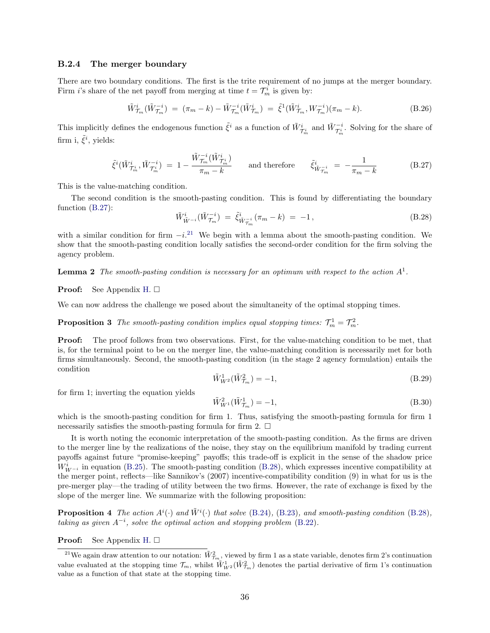#### B.2.4 The merger boundary

There are two boundary conditions. The first is the trite requirement of no jumps at the merger boundary. Firm *i*'s share of the net payoff from merging at time  $t = \mathcal{T}_m^i$  is given by:

<span id="page-36-1"></span>
$$
\tilde{W}_{\mathcal{T}_m}^i(\tilde{W}_{\mathcal{T}_m}^{-i}) = (\pi_m - k) - \tilde{W}_{\mathcal{T}_m}^{-i}(\tilde{W}_{\mathcal{T}_m}^i) = \tilde{\xi}^1(\tilde{W}_{\mathcal{T}_m}^i, W_{\mathcal{T}_m}^{-i})(\pi_m - k). \tag{B.26}
$$

This implicitly defines the endogenous function  $\tilde{\xi}^i$  as a function of  $\tilde{W}^i_{\mathcal{T}^i_m}$  and  $\tilde{W}^{-i}_{\mathcal{T}^i_m}$ . Solving for the share of firm i,  $\tilde{\xi}^i$ , yields:

<span id="page-36-2"></span>
$$
\tilde{\xi}^{i}(\tilde{W}_{\mathcal{T}_{m}^{i}}^{i},\tilde{W}_{\mathcal{T}_{m}^{i}}^{-i}) = 1 - \frac{\tilde{W}_{\mathcal{T}_{m}^{m}}^{-i}(\tilde{W}_{\mathcal{T}_{m}^{i}}^{i})}{\pi_{m} - k} \quad \text{and therefore} \quad \tilde{\xi}_{\tilde{W}_{\mathcal{T}_{m}}^{-i}}^{-i} = -\frac{1}{\pi_{m} - k} \quad (B.27)
$$

This is the value-matching condition.

The second condition is the smooth-pasting condition. This is found by differentiating the boundary function [\(B.27\)](#page-36-2):

<span id="page-36-0"></span>
$$
\tilde{W}_{\tilde{W}^{-i}}^{i}(\tilde{W}_{\tilde{T}_{m}}^{-i}) = \tilde{\xi}_{\tilde{W}_{\tilde{T}_{m}}^{-i}}^{i}(\pi_{m} - k) = -1, \qquad (B.28)
$$

with a similar condition for firm  $-i^{21}$  $-i^{21}$  $-i^{21}$  We begin with a lemma about the smooth-pasting condition. We show that the smooth-pasting condition locally satisfies the second-order condition for the firm solving the agency problem.

<span id="page-36-5"></span>**Lemma 2** The smooth-pasting condition is necessary for an optimum with respect to the action  $A^1$ .

#### **Proof:** See Appendix [H.](#page-43-0)  $\Box$

We can now address the challenge we posed about the simultaneity of the optimal stopping times.

**Proposition 3** The smooth-pasting condition implies equal stopping times:  $\mathcal{T}_m^1 = \mathcal{T}_m^2$ .

**Proof:** The proof follows from two observations. First, for the value-matching condition to be met, that is, for the terminal point to be on the merger line, the value-matching condition is necessarily met for both firms simultaneously. Second, the smooth-pasting condition (in the stage 2 agency formulation) entails the condition

$$
\tilde{W}_{W^2}^1(\tilde{W}_{\mathcal{T}_m}^2) = -1,\tag{B.29}
$$

for firm 1; inverting the equation yields

$$
\tilde{W}_{W^{1}}^{2}(\tilde{W}_{\mathcal{T}_{m}}^{1}) = -1, \tag{B.30}
$$

which is the smooth-pasting condition for firm 1. Thus, satisfying the smooth-pasting formula for firm 1 necessarily satisfies the smooth-pasting formula for firm 2.  $\Box$ 

It is worth noting the economic interpretation of the smooth-pasting condition. As the firms are driven to the merger line by the realizations of the noise, they stay on the equilibrium manifold by trading current payoffs against future "promise-keeping" payoffs; this trade-off is explicit in the sense of the shadow price  $W_{W^{-i}}^{i}$  in equation [\(B.25\)](#page-35-5). The smooth-pasting condition [\(B.28\)](#page-36-0), which expresses incentive compatibility at the merger point, reflects—like Sannikov's (2007) incentive-compatibility condition (9) in what for us is the pre-merger play—the trading of utility between the two firms. However, the rate of exchange is fixed by the slope of the merger line. We summarize with the following proposition:

<span id="page-36-4"></span>**Proposition 4** The action  $A^i(\cdot)$  and  $\tilde{W}^i(\cdot)$  that solve [\(B.24\)](#page-35-3), [\(B.23\)](#page-35-0), and smooth-pasting condition [\(B.28\)](#page-36-0), taking as given  $A^{-i}$ , solve the optimal action and stopping problem [\(B.22\)](#page-35-1).

**Proof:** See Appendix [H.](#page-43-0)  $\square$ 

<span id="page-36-3"></span><sup>&</sup>lt;sup>21</sup>We again draw attention to our notation:  $\tilde{W}_{\tau_m}^2$ , viewed by firm 1 as a state variable, denotes firm 2's continuation value evaluated at the stopping time  $\mathcal{T}_m$ , whilst  $\tilde{W}_{W^2}^1(\tilde{W}_{\mathcal{T}_m}^2)$  denotes the partial derivative of firm 1's continuation value as a function of that state at the stopping time.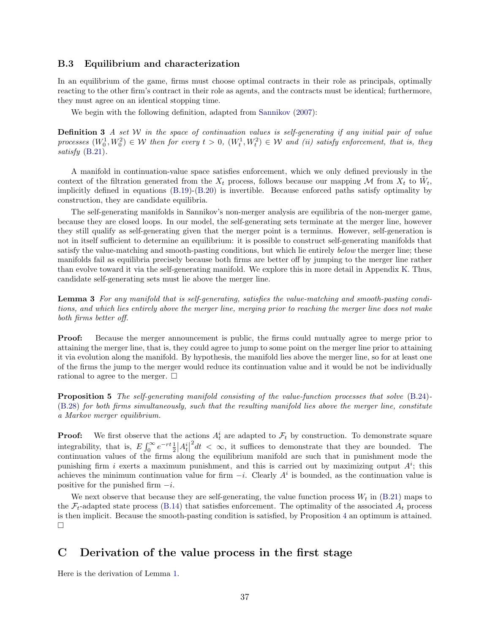### B.3 Equilibrium and characterization

In an equilibrium of the game, firms must choose optimal contracts in their role as principals, optimally reacting to the other firm's contract in their role as agents, and the contracts must be identical; furthermore, they must agree on an identical stopping time.

We begin with the following definition, adapted from [Sannikov](#page-31-0) [\(2007\)](#page-31-0):

**Definition 3** A set W in the space of continuation values is self-generating if any initial pair of value processes  $(W_0^1, W_0^2) \in W$  then for every  $t > 0$ ,  $(W_t^1, W_t^2) \in W$  and (ii) satisfy enforcement, that is, they satisfy [\(B.21\)](#page-35-2).

A manifold in continuation-value space satisfies enforcement, which we only defined previously in the context of the filtration generated from the  $X_t$  process, follows because our mapping M from  $X_t$  to  $\tilde{W}_t$ , implicitly defined in equations [\(B.19\)](#page-35-4)-[\(B.20\)](#page-35-6) is invertible. Because enforced paths satisfy optimality by construction, they are candidate equilibria.

The self-generating manifolds in Sannikov's non-merger analysis are equilibria of the non-merger game, because they are closed loops. In our model, the self-generating sets terminate at the merger line, however they still qualify as self-generating given that the merger point is a terminus. However, self-generation is not in itself sufficient to determine an equilibrium: it is possible to construct self-generating manifolds that satisfy the value-matching and smooth-pasting conditions, but which lie entirely below the merger line; these manifolds fail as equilibria precisely because both firms are better off by jumping to the merger line rather than evolve toward it via the self-generating manifold. We explore this in more detail in Appendix [K.](#page-46-0) Thus, candidate self-generating sets must lie above the merger line.

Lemma 3 For any manifold that is self-generating, satisfies the value-matching and smooth-pasting conditions, and which lies entirely above the merger line, merging prior to reaching the merger line does not make both firms better off.

**Proof:** Because the merger announcement is public, the firms could mutually agree to merge prior to attaining the merger line, that is, they could agree to jump to some point on the merger line prior to attaining it via evolution along the manifold. By hypothesis, the manifold lies above the merger line, so for at least one of the firms the jump to the merger would reduce its continuation value and it would be not be individually rational to agree to the merger.  $\Box$ 

Proposition 5 The self-generating manifold consisting of the value-function processes that solve [\(B.24\)](#page-35-3)- [\(B.28\)](#page-36-0) for both firms simultaneously, such that the resulting manifold lies above the merger line, constitute a Markov merger equilibrium.

**Proof:** We first observe that the actions  $A_t^i$  are adapted to  $\mathcal{F}_t$  by construction. To demonstrate square integrability, that is,  $E \int_0^\infty e^{-rt} \frac{1}{2} \Big| A_t^i \Big|$  $2dt < \infty$ , it suffices to demonstrate that they are bounded. The continuation values of the firms along the equilibrium manifold are such that in punishment mode the punishing firm i exerts a maximum punishment, and this is carried out by maximizing output  $A^i$ ; this achieves the minimum continuation value for firm  $-i$ . Clearly  $A^i$  is bounded, as the continuation value is positive for the punished firm  $-i$ .

We next observe that because they are self-generating, the value function process  $W_t$  in [\(B.21\)](#page-35-2) maps to the  $\mathcal{F}_t$ -adapted state process [\(B.14\)](#page-33-6) that satisfies enforcement. The optimality of the associated  $A_t$  process is then implicit. Because the smooth-pasting condition is satisfied, by Proposition [4](#page-36-4) an optimum is attained.  $\Box$ 

## <span id="page-37-0"></span>C Derivation of the value process in the first stage

Here is the derivation of Lemma [1.](#page-33-7)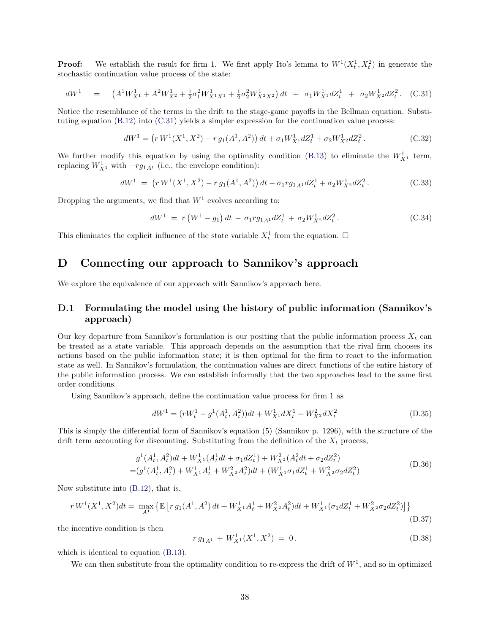**Proof:** We establish the result for firm 1. We first apply Ito's lemma to  $W^1(X_t^1, X_t^2)$  in generate the stochastic continuation value process of the state:

$$
dW^{1} = \left(A^{1}W_{X^{1}}^{1} + A^{2}W_{X^{2}}^{1} + \frac{1}{2}\sigma_{1}^{2}W_{X^{1}X^{1}}^{1} + \frac{1}{2}\sigma_{2}^{2}W_{X^{2}X^{2}}^{1}\right)dt + \sigma_{1}W_{X^{1}}^{1}dZ_{t}^{1} + \sigma_{2}W_{X^{2}}^{1}dZ_{t}^{2}. (C.31)
$$

Notice the resemblance of the terms in the drift to the stage-game payoffs in the Bellman equation. Substituting equation [\(B.12\)](#page-33-4) into [\(C.31\)](#page-38-1) yields a simpler expression for the continuation value process:

$$
dW^{1} = (r W^{1}(X^{1}, X^{2}) - r g_{1}(A^{1}, A^{2})) dt + \sigma_{1} W_{X^{1}}^{1} dZ_{t}^{1} + \sigma_{2} W_{X^{2}}^{1} dZ_{t}^{2}.
$$
 (C.32)

We further modify this equation by using the optimality condition [\(B.13\)](#page-33-3) to eliminate the  $W^1_{X^1}$  term, replacing  $W_{X^1}^1$  with  $-rg_{1A^1}$  (i.e., the envelope condition):

$$
dW^{1} = (r W^{1}(X^{1}, X^{2}) - r g_{1}(A^{1}, A^{2})) dt - \sigma_{1} r g_{1A^{1}} dZ_{t}^{1} + \sigma_{2} W_{X^{2}}^{1} dZ_{t}^{2}. \qquad (C.33)
$$

Dropping the arguments, we find that  $W<sup>1</sup>$  evolves according to:

<span id="page-38-1"></span>
$$
dW^{1} = r \left( W^{1} - g_{1} \right) dt - \sigma_{1} r g_{1A^{1}} dZ_{t}^{1} + \sigma_{2} W_{X^{2}}^{1} dZ_{t}^{2}. \qquad (C.34)
$$

This eliminates the explicit influence of the state variable  $X_t^1$  from the equation.  $\Box$ 

# <span id="page-38-0"></span>D Connecting our approach to Sannikov's approach

We explore the equivalence of our approach with Sannikov's approach here.

## D.1 Formulating the model using the history of public information (Sannikov's approach)

Our key departure from Sannikov's formulation is our positing that the public information process  $X_t$  can be treated as a state variable. This approach depends on the assumption that the rival firm chooses its actions based on the public information state; it is then optimal for the firm to react to the information state as well. In Sannikov's formulation, the continuation values are direct functions of the entire history of the public information process. We can establish informally that the two approaches lead to the same first order conditions.

Using Sannikov's approach, define the continuation value process for firm 1 as

$$
dW^{1} = (rW_{t}^{1} - g^{1}(A_{t}^{1}, A_{t}^{2}))dt + W_{X1}^{1}dX_{t}^{1} + W_{X2}^{2}dX_{t}^{2}
$$
(D.35)

This is simply the differential form of Sannikov's equation (5) (Sannikov p. 1296), with the structure of the drift term accounting for discounting. Substituting from the definition of the  $X_t$  process,

$$
g^{1}(A_{t}^{1}, A_{t}^{2})dt + W_{X^{1}}^{1}(A_{t}^{1}dt + \sigma_{1}dZ_{t}^{1}) + W_{X^{2}}^{2}(A_{t}^{2}dt + \sigma_{2}dZ_{t}^{2})
$$
  
= 
$$
(g^{1}(A_{t}^{1}, A_{t}^{2}) + W_{X^{1}}^{1}A_{t}^{1} + W_{X^{2}}^{2}A_{t}^{2})dt + (W_{X^{1}}^{1}\sigma_{1}dZ_{t}^{1} + W_{X^{2}}^{2}\sigma_{2}dZ_{t}^{2})
$$
 (D.36)

Now substitute into [\(B.12\)](#page-33-4), that is,

<span id="page-38-2"></span>
$$
r W^{1}(X^{1}, X^{2})dt = \max_{A^{1}} \left\{ \mathbb{E} \left[ r g_{1}(A^{1}, A^{2}) dt + W_{X^{1}}^{1} A_{t}^{1} + W_{X^{2}}^{2} A_{t}^{2} dt + W_{X^{1}}^{1} (\sigma_{1} d Z_{t}^{1} + W_{X^{2}}^{2} \sigma_{2} d Z_{t}^{2}) \right] \right\}
$$
\n(D.37)

the incentive condition is then

$$
r g_{1A^1} + W^1_{X^1}(X^1, X^2) = 0.
$$
\n(D.38)

which is identical to equation [\(B.13\)](#page-33-3).

We can then substitute from the optimality condition to re-express the drift of  $W<sup>1</sup>$ , and so in optimized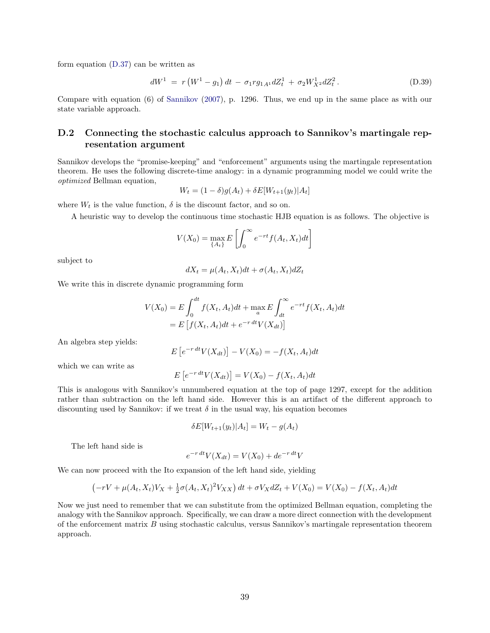form equation [\(D.37\)](#page-38-2) can be written as

$$
dW^{1} = r \left( W^{1} - g_{1} \right) dt - \sigma_{1} r g_{1A1} dZ_{t}^{1} + \sigma_{2} W_{X^{2}}^{1} dZ_{t}^{2}. \qquad (D.39)
$$

Compare with equation (6) of [Sannikov](#page-31-0) [\(2007\)](#page-31-0), p. 1296. Thus, we end up in the same place as with our state variable approach.

## D.2 Connecting the stochastic calculus approach to Sannikov's martingale representation argument

Sannikov develops the "promise-keeping" and "enforcement" arguments using the martingale representation theorem. He uses the following discrete-time analogy: in a dynamic programming model we could write the optimized Bellman equation,

$$
W_t = (1 - \delta)g(A_t) + \delta E[W_{t+1}(y_t)|A_t]
$$

where  $W_t$  is the value function,  $\delta$  is the discount factor, and so on.

A heuristic way to develop the continuous time stochastic HJB equation is as follows. The objective is

$$
V(X_0) = \max_{\{A_t\}} E\left[\int_0^\infty e^{-rt} f(A_t, X_t) dt\right]
$$

subject to

$$
dX_t = \mu(A_t, X_t)dt + \sigma(A_t, X_t)dZ_t
$$

We write this in discrete dynamic programming form

$$
V(X_0) = E \int_0^{dt} f(X_t, A_t)dt + \max_a E \int_{dt}^{\infty} e^{-rt} f(X_t, A_t)dt
$$
  
= 
$$
E \left[ f(X_t, A_t)dt + e^{-r \, dt} V(X_{dt}) \right]
$$

An algebra step yields:

$$
E\left[e^{-r\,dt}V(X_{dt})\right] - V(X_0) = -f(X_t, A_t)dt
$$

which we can write as

$$
E\left[e^{-r\,dt}V(X_{dt})\right] = V(X_0) - f(X_t, A_t)dt
$$

This is analogous with Sannikov's unnumbered equation at the top of page 1297, except for the addition rather than subtraction on the left hand side. However this is an artifact of the different approach to discounting used by Sannikov: if we treat  $\delta$  in the usual way, his equation becomes

$$
\delta E[W_{t+1}(y_t)|A_t] = W_t - g(A_t)
$$

The left hand side is

$$
e^{-r \, dt} V(X_{dt}) = V(X_0) + de^{-r \, dt} V
$$

We can now proceed with the Ito expansion of the left hand side, yielding

$$
(-rV + \mu(A_t, X_t)V_X + \frac{1}{2}\sigma(A_t, X_t)^2V_{XX}) dt + \sigma V_X dZ_t + V(X_0) = V(X_0) - f(X_t, A_t)dt
$$

Now we just need to remember that we can substitute from the optimized Bellman equation, completing the analogy with the Sannikov approach. Specifically, we can draw a more direct connection with the development of the enforcement matrix  $B$  using stochastic calculus, versus Sannikov's martingale representation theorem approach.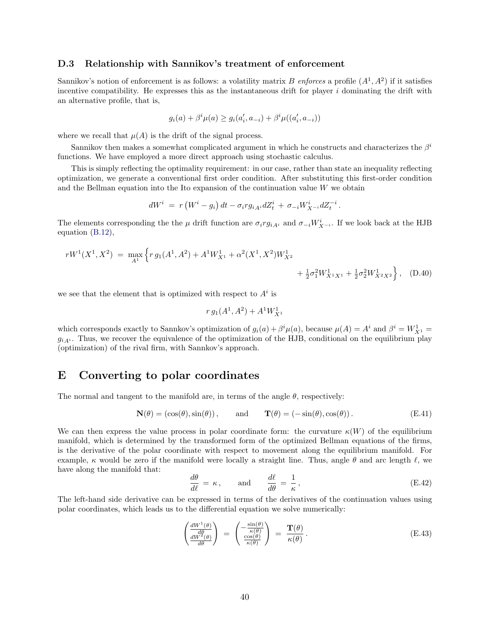### D.3 Relationship with Sannikov's treatment of enforcement

Sannikov's notion of enforcement is as follows: a volatility matrix B enforces a profile  $(A^1, A^2)$  if it satisfies incentive compatibility. He expresses this as the instantaneous drift for player  $i$  dominating the drift with an alternative profile, that is,

$$
g_i(a) + \beta^i \mu(a) \ge g_i(a'_i, a_{-i}) + \beta^i \mu((a'_i, a_{-i}))
$$

where we recall that  $\mu(A)$  is the drift of the signal process.

Sannikov then makes a somewhat complicated argument in which he constructs and characterizes the  $\beta^i$ functions. We have employed a more direct approach using stochastic calculus.

This is simply reflecting the optimality requirement: in our case, rather than state an inequality reflecting optimization, we generate a conventional first order condition. After substituting this first-order condition and the Bellman equation into the Ito expansion of the continuation value  $W$  we obtain

$$
dW^i \;=\; r \left(W^i - g_i\right)dt - \sigma_i r g_{iA^i} dZ_t^i \,+\, \sigma_{-i} W^i_{X^{-i}} dZ_t^{-i} \,.
$$

The elements corresponding the the  $\mu$  drift function are  $\sigma_i r g_{iA_i}$  and  $\sigma_{-i} W^i_{X^{-i}}$ . If we look back at the HJB equation [\(B.12\)](#page-33-4),

$$
rW^{1}(X^{1}, X^{2}) = \max_{A^{1}} \left\{ r g_{1}(A^{1}, A^{2}) + A^{1}W_{X^{1}}^{1} + \alpha^{2}(X^{1}, X^{2})W_{X^{2}}^{1} + \frac{1}{2}\sigma_{1}^{2}W_{X^{1}X^{1}}^{1} + \frac{1}{2}\sigma_{2}^{2}W_{X^{2}X^{2}}^{1} \right\}, \quad (D.40)
$$

we see that the element that is optimized with respect to  $A^i$  is

$$
r\,g_1(A^1,A^2) + A^1W^1_{X^1}
$$

which corresponds exactly to Sannkov's optimization of  $g_i(a) + \beta^i \mu(a)$ , because  $\mu(A) = A^i$  and  $\beta^i = W_{X^1}^1$  $g_{iA_i}$ . Thus, we recover the equivalence of the optimization of the HJB, conditional on the equilibrium play (optimization) of the rival firm, with Sannkov's approach.

## <span id="page-40-0"></span>E Converting to polar coordinates

The normal and tangent to the manifold are, in terms of the angle  $\theta$ , respectively:

$$
\mathbf{N}(\theta) = (\cos(\theta), \sin(\theta)), \quad \text{and} \quad \mathbf{T}(\theta) = (-\sin(\theta), \cos(\theta)). \tag{E.41}
$$

We can then express the value process in polar coordinate form: the curvature  $\kappa(W)$  of the equilibrium manifold, which is determined by the transformed form of the optimized Bellman equations of the firms, is the derivative of the polar coordinate with respect to movement along the equilibrium manifold. For example,  $\kappa$  would be zero if the manifold were locally a straight line. Thus, angle  $\theta$  and arc length  $\ell$ , we have along the manifold that:

$$
\frac{d\theta}{d\ell} = \kappa, \quad \text{and} \quad \frac{d\ell}{d\theta} = \frac{1}{\kappa}, \quad (E.42)
$$

The left-hand side derivative can be expressed in terms of the derivatives of the continuation values using polar coordinates, which leads us to the differential equation we solve numerically:

<span id="page-40-1"></span>
$$
\begin{pmatrix}\n\frac{dW^1(\theta)}{d\theta} \\
\frac{dW^2(\theta)}{d\theta}\n\end{pmatrix} = \begin{pmatrix}\n-\frac{\sin(\theta)}{\kappa(\theta)} \\
\frac{\cos(\theta)}{\kappa(\theta)}\n\end{pmatrix} = \frac{\mathbf{T}(\theta)}{\kappa(\theta)}.
$$
\n(E.43)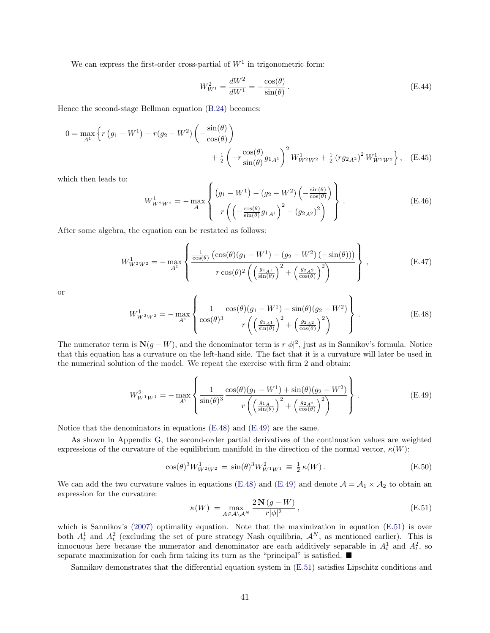We can express the first-order cross-partial of  $W<sup>1</sup>$  in trigonometric form:

$$
W_{W^{1}}^{2} = \frac{dW^{2}}{dW^{1}} = -\frac{\cos(\theta)}{\sin(\theta)}.
$$
 (E.44)

Hence the second-stage Bellman equation [\(B.24\)](#page-35-3) becomes:

$$
0 = \max_{A^{1}} \left\{ r \left( g_{1} - W^{1} \right) - r(g_{2} - W^{2}) \left( - \frac{\sin(\theta)}{\cos(\theta)} \right) + \frac{1}{2} \left( -r \frac{\cos(\theta)}{\sin(\theta)} g_{1A^{1}} \right)^{2} W_{W^{2}W^{2}}^{1} + \frac{1}{2} \left( r g_{2A^{2}} \right)^{2} W_{W^{2}W^{2}}^{1} \right\}, \quad (E.45)
$$

which then leads to:

$$
W_{W^2 W^2}^1 = - \max_{A^1} \left\{ \frac{\left(g_1 - W^1\right) - \left(g_2 - W^2\right) \left(-\frac{\sin(\theta)}{\cos(\theta)}\right)}{r \left(\left(-\frac{\cos(\theta)}{\sin(\theta)}g_{1A^1}\right)^2 + \left(g_{2A^2}\right)^2\right)} \right\} .
$$
 (E.46)

After some algebra, the equation can be restated as follows:

$$
W_{W^2 W^2}^1 = -\max_{A^1} \left\{ \frac{\frac{1}{\cos(\theta)} \left( \cos(\theta)(g_1 - W^1) - (g_2 - W^2)(-\sin(\theta)) \right)}{r \cos(\theta)^2 \left( \left( \frac{g_{1 A^1}}{\sin(\theta)} \right)^2 + \left( \frac{g_{2 A^2}}{\cos(\theta)} \right)^2 \right)} \right\},
$$
(E.47)

or

<span id="page-41-0"></span>
$$
W_{W^2 W^2}^1 = -\max_{A^1} \left\{ \frac{1}{\cos(\theta)^3} \frac{\cos(\theta)(g_1 - W^1) + \sin(\theta)(g_2 - W^2)}{r \left( \left(\frac{g_1 A^1}{\sin(\theta)}\right)^2 + \left(\frac{g_2 A^2}{\cos(\theta)}\right)^2 \right)} \right\}.
$$
 (E.48)

The numerator term is  $N(g - W)$ , and the denominator term is  $r|\phi|^2$ , just as in Sannikov's formula. Notice that this equation has a curvature on the left-hand side. The fact that it is a curvature will later be used in the numerical solution of the model. We repeat the exercise with firm 2 and obtain:

<span id="page-41-1"></span>
$$
W_{W^1 W^1}^2 = -\max_{A^2} \left\{ \frac{1}{\sin(\theta)^3} \frac{\cos(\theta)(g_1 - W^1) + \sin(\theta)(g_2 - W^2)}{r \left( \left(\frac{g_1 A^1}{\sin(\theta)}\right)^2 + \left(\frac{g_2 A^2}{\cos(\theta)}\right)^2 \right)} \right\}.
$$
(E.49)

Notice that the denominators in equations [\(E.48\)](#page-41-0) and [\(E.49\)](#page-41-1) are the same.

As shown in Appendix [G,](#page-42-0) the second-order partial derivatives of the continuation values are weighted expressions of the curvature of the equilibrium manifold in the direction of the normal vector,  $\kappa(W)$ :

$$
\cos(\theta)^3 W_{W^2 W^2}^1 = \sin(\theta)^3 W_{W^1 W^1}^2 \equiv \frac{1}{2} \kappa(W). \tag{E.50}
$$

We can add the two curvature values in equations [\(E.48\)](#page-41-0) and [\(E.49\)](#page-41-1) and denote  $\mathcal{A} = \mathcal{A}_1 \times \mathcal{A}_2$  to obtain an expression for the curvature:

<span id="page-41-2"></span>
$$
\kappa(W) = \max_{A \in \mathcal{A} \setminus \mathcal{A}^N} \frac{2\mathbf{N}\left(g - W\right)}{r|\phi|^2},\tag{E.51}
$$

which is Sannikov's [\(2007\)](#page-31-0) optimality equation. Note that the maximization in equation [\(E.51\)](#page-41-2) is over both  $A_t^1$  and  $A_t^2$  (excluding the set of pure strategy Nash equilibria,  $\mathcal{A}^N$ , as mentioned earlier). This is innocuous here because the numerator and denominator are each additively separable in  $A_t^1$  and  $A_t^2$ , so separate maximization for each firm taking its turn as the "principal" is satisfied.  $\blacksquare$ 

Sannikov demonstrates that the differential equation system in [\(E.51\)](#page-41-2) satisfies Lipschitz conditions and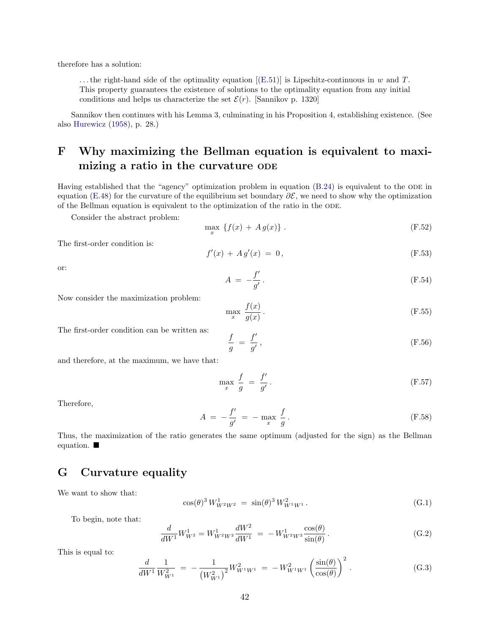therefore has a solution:

... the right-hand side of the optimality equation  $[(E.51)]$  $[(E.51)]$  $[(E.51)]$  is Lipschitz-continuous in w and T. This property guarantees the existence of solutions to the optimality equation from any initial conditions and helps us characterize the set  $\mathcal{E}(r)$ . [Sannikov p. 1320]

Sannikov then continues with his Lemma 3, culminating in his Proposition 4, establishing existence. (See also [Hurewicz](#page-31-12) [\(1958\)](#page-31-12), p. 28.)

# <span id="page-42-1"></span>F Why maximizing the Bellman equation is equivalent to maximizing a ratio in the curvature ODE

Having established that the "agency" optimization problem in equation [\(B.24\)](#page-35-3) is equivalent to the ODE in equation [\(E.48\)](#page-41-0) for the curvature of the equilibrium set boundary  $\partial \mathcal{E}$ , we need to show why the optimization of the Bellman equation is equivalent to the optimization of the ratio in the ODE.

Consider the abstract problem:

$$
\max_{x} \{f(x) + Ag(x)\}.
$$
\n(F.52)

The first-order condition is:

$$
f'(x) + A g'(x) = 0,
$$
 (F.53)

or:

$$
A = -\frac{f'}{g'}.\tag{F.54}
$$

Now consider the maximization problem:

$$
\max_{x} \frac{f(x)}{g(x)}.
$$
 (F.55)

The first-order condition can be written as:

$$
\frac{f}{g} = \frac{f'}{g'},\tag{F.56}
$$

and therefore, at the maximum, we have that:

$$
\max_{x} \frac{f}{g} = \frac{f'}{g'}.
$$
\n(F.57)

Therefore,

$$
A = -\frac{f'}{g'} = -\max_{x} \frac{f}{g}.
$$
 (F.58)

Thus, the maximization of the ratio generates the same optimum (adjusted for the sign) as the Bellman equation.

## <span id="page-42-0"></span>G Curvature equality

We want to show that:

$$
\cos(\theta)^3 W_{W^2 W^2}^1 = \sin(\theta)^3 W_{W^1 W^1}^2. \tag{G.1}
$$

To begin, note that:

$$
\frac{d}{dW^1}W^1_{W^2} = W^1_{W^2W^2}\frac{dW^2}{dW^1} = -W^1_{W^2W^2}\frac{\cos(\theta)}{\sin(\theta)}.
$$
\n(G.2)

This is equal to:

$$
\frac{d}{dW^1} \frac{1}{W_{W^1}^2} = -\frac{1}{(W_{W^1}^2)^2} W_{W^1 W^1}^2 = -W_{W^1 W^1}^2 \left(\frac{\sin(\theta)}{\cos(\theta)}\right)^2.
$$
\n(G.3)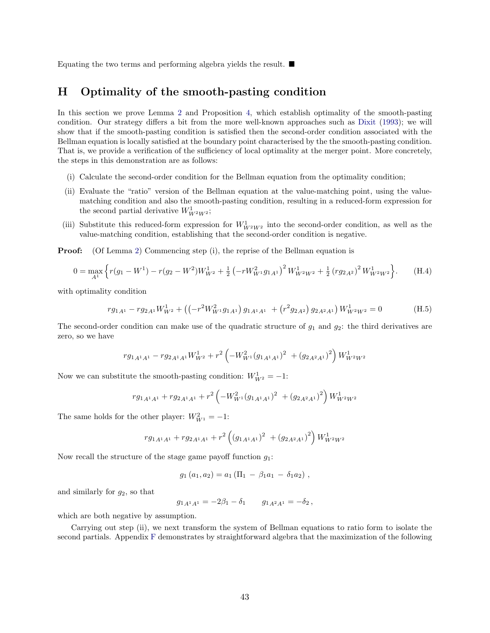Equating the two terms and performing algebra yields the result.  $\blacksquare$ 

## <span id="page-43-0"></span>H Optimality of the smooth-pasting condition

In this section we prove Lemma [2](#page-36-5) and Proposition [4,](#page-36-4) which establish optimality of the smooth-pasting condition. Our strategy differs a bit from the more well-known approaches such as [Dixit](#page-30-13) [\(1993\)](#page-30-13); we will show that if the smooth-pasting condition is satisfied then the second-order condition associated with the Bellman equation is locally satisfied at the boundary point characterised by the the smooth-pasting condition. That is, we provide a verification of the sufficiency of local optimality at the merger point. More concretely, the steps in this demonstration are as follows:

- (i) Calculate the second-order condition for the Bellman equation from the optimality condition;
- (ii) Evaluate the "ratio" version of the Bellman equation at the value-matching point, using the valuematching condition and also the smooth-pasting condition, resulting in a reduced-form expression for the second partial derivative  $W_{W^2 W^2}^1$ ;
- (iii) Substitute this reduced-form expression for  $W_{W^2W^2}^1$  into the second-order condition, as well as the value-matching condition, establishing that the second-order condition is negative.

**Proof:** (Of Lemma [2\)](#page-36-5) Commencing step (i), the reprise of the Bellman equation is

$$
0 = \max_{A^1} \left\{ r(g_1 - W^1) - r(g_2 - W^2)W_{W^2}^1 + \frac{1}{2} \left( -rW_{W^1}^2 g_{1A^1} \right)^2 W_{W^2 W^2}^1 + \frac{1}{2} \left( r g_{2A^2} \right)^2 W_{W^2 W^2}^1 \right\}.
$$
 (H.4)

with optimality condition

$$
r g_{1A^1} - r g_{2A^1} W_{W^2}^1 + \left( \left( -r^2 W_{W^1}^2 g_{1A^1} \right) g_{1A^1 A^1} + \left( r^2 g_{2A^2} \right) g_{2A^2 A^1} \right) W_{W^2 W^2}^1 = 0 \tag{H.5}
$$

The second-order condition can make use of the quadratic structure of  $g_1$  and  $g_2$ : the third derivatives are zero, so we have

$$
r g_{1A^1A^1} - r g_{2A^1A^1} W_{W^2}^1 + r^2 \left( -W_{W^1}^2 (g_{1A^1A^1})^2 + (g_{2A^2A^1})^2 \right) W_{W^2W^2}^1
$$

Now we can substitute the smooth-pasting condition:  $W_{W^2}^1 = -1$ :

$$
r g_{1A^1A^1} + r g_{2A^1A^1} + r^2 \left(-W_{W^1}^2 (g_{1A^1A^1})^2 + (g_{2A^2A^1})^2\right) W_{W^2W^2}^1
$$

The same holds for the other player:  $W_{W^1}^2 = -1$ :

$$
r g_{1A^1A^1} + r g_{2A^1A^1} + r^2 \left( \left( g_{1A^1A^1} \right)^2 \right) + \left( g_{2A^2A^1} \right)^2 \right) W_{W^2W^2}^1
$$

Now recall the structure of the stage game payoff function  $q_1$ :

$$
g_1(a_1,a_2) = a_1 (\Pi_1 - \beta_1 a_1 - \delta_1 a_2) ,
$$

and similarly for  $g_2$ , so that

 $g_{1A^1A^1} = -2\beta_1 - \delta_1$   $g_{1A^2A^1} = -\delta_2$ ,

which are both negative by assumption.

Carrying out step (ii), we next transform the system of Bellman equations to ratio form to isolate the second partials. Appendix [F](#page-42-1) demonstrates by straightforward algebra that the maximization of the following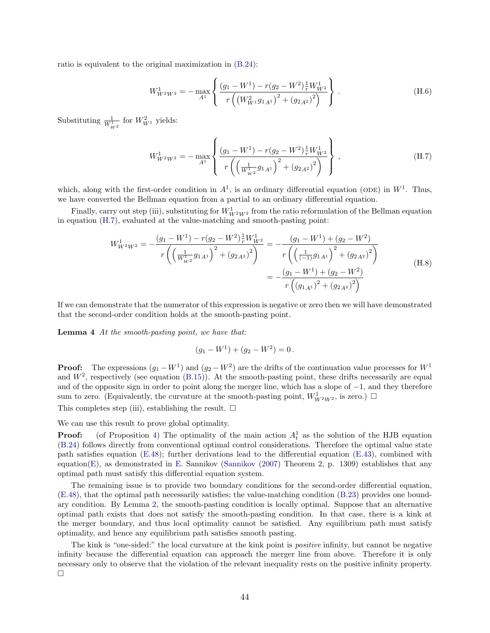ratio is equivalent to the original maximization in [\(B.24\)](#page-35-3):

$$
W_{W^2 W^2}^1 = - \max_{A^1} \left\{ \frac{(g_1 - W^1) - r(g_2 - W^2) \frac{1}{r} W_{W^2}^1}{r \left( \left( W_{W^1}^2 g_{1 A^1} \right)^2 + \left( g_{2 A^2} \right)^2 \right)} \right\}.
$$
 (H.6)

Substituting  $\frac{1}{W_{W^2}^1}$  for  $W_{W^1}^2$  yields:

<span id="page-44-0"></span>
$$
W_{W^2 W^2}^1 = - \max_{A^1} \left\{ \frac{(g_1 - W^1) - r(g_2 - W^2) \frac{1}{r} W_{W^2}^1}{r \left( \left( \frac{1}{W_{W^2}^1} g_{1 A^1} \right)^2 + (g_{2 A^2})^2 \right)} \right\},
$$
\n(H.7)

which, along with the first-order condition in  $A^1$ , is an ordinary differential equation (ODE) in  $W^1$ . Thus, we have converted the Bellman equation from a partial to an ordinary differential equation.

Finally, carry out step (iii), substituting for  $W_{W^2W^2}^1$  from the ratio reformulation of the Bellman equation in equation [\(H.7\)](#page-44-0), evaluated at the value-matching and smooth-pasting point:

$$
W_{W^2W^2}^1 = -\frac{(g_1 - W^1) - r(g_2 - W^2)\frac{1}{r}W_{W^2}^1}{r\left(\left(\frac{1}{W_{W^2}^1}g_{1A^1}\right)^2 + (g_{2A^2})^2\right)} = -\frac{(g_1 - W^1) + (g_2 - W^2)}{r\left(\left(\frac{1}{(-1)}g_{1A^1}\right)^2 + (g_{2A^2})^2\right)}
$$
  
= 
$$
-\frac{(g_1 - W^1) + (g_2 - W^2)}{r\left((g_{1A^1})^2 + (g_{2A^2})^2\right)}
$$
(H.8)

If we can demonstrate that the numerator of this expression is negative or zero then we will have demonstrated that the second-order condition holds at the smooth-pasting point.

Lemma 4 At the smooth-pasting point, we have that:

$$
(g_1 - W^1) + (g_2 - W^2) = 0.
$$

**Proof:** The expressions  $(g_1 - W^1)$  and  $(g_2 - W^2)$  are the drifts of the continuation value processes for  $W^1$ and  $W^2$ , respectively (see equation [\(B.15\)](#page-33-0)). At the smooth-pasting point, these drifts necessarily are equal and of the opposite sign in order to point along the merger line, which has a slope of −1, and they therefore sum to zero. (Equivalently, the curvature at the smooth-pasting point,  $W_{W^2W^2}^1$ , is zero.)  $\Box$ 

This completes step (iii), establishing the result.  $\Box$ 

We can use this result to prove global optimality.

**Proof:** (of Proposition [4\)](#page-36-4) The optimality of the main action  $A_t^1$  as the solution of the HJB equation [\(B.24\)](#page-35-3) follows directly from conventional optimal control considerations. Therefore the optimal value state path satisfies equation [\(E.48\)](#page-41-0); further derivations lead to the differential equation [\(E.43\)](#page-40-1), combined with equation[\(E\)](#page-40-0), as demonstrated in [E.](#page-40-0) Sannikov [\(Sannikov](#page-31-0)  $(2007)$  Theorem 2, p. 1309) establishes that any optimal path must satisfy this differential equation system.

The remaining issue is to provide two boundary conditions for the second-order differential equation, [\(E.48\)](#page-41-0), that the optimal path necessarily satisfies; the value-matching condition [\(B.23\)](#page-35-0) provides one boundary condition. By Lemma [2,](#page-36-5) the smooth-pasting condition is locally optimal. Suppose that an alternative optimal path exists that does not satisfy the smooth-pasting condition. In that case, there is a kink at the merger boundary, and thus local optimality cannot be satisfied. Any equilibrium path must satisfy optimality, and hence any equilibrium path satisfies smooth pasting.

The kink is "one-sided:" the local curvature at the kink point is *positive* infinity, but cannot be negative infinity because the differential equation can approach the merger line from above. Therefore it is only necessary only to observe that the violation of the relevant inequality rests on the positive infinity property. П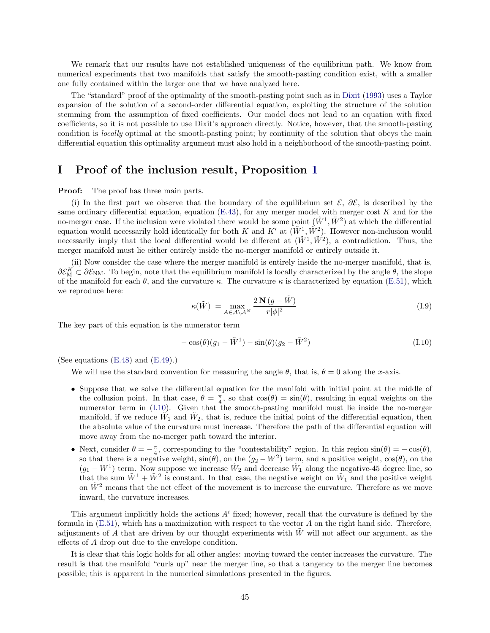We remark that our results have not established uniqueness of the equilibrium path. We know from numerical experiments that two manifolds that satisfy the smooth-pasting condition exist, with a smaller one fully contained within the larger one that we have analyzed here.

The "standard" proof of the optimality of the smooth-pasting point such as in [Dixit](#page-30-13) [\(1993\)](#page-30-13) uses a Taylor expansion of the solution of a second-order differential equation, exploiting the structure of the solution stemming from the assumption of fixed coefficients. Our model does not lead to an equation with fixed coefficients, so it is not possible to use Dixit's approach directly. Notice, however, that the smooth-pasting condition is *locally* optimal at the smooth-pasting point; by continuity of the solution that obeys the main differential equation this optimality argument must also hold in a neighborhood of the smooth-pasting point.

## <span id="page-45-0"></span>I Proof of the inclusion result, Proposition [1](#page-18-0)

**Proof:** The proof has three main parts.

(i) In the first part we observe that the boundary of the equilibrium set  $\mathcal{E}, \partial \mathcal{E}$ , is described by the same ordinary differential equation, equation [\(E.43\)](#page-40-1), for any merger model with merger cost K and for the no-merger case. If the inclusion were violated there would be some point  $(\tilde{W}^1, \tilde{W}^2)$  at which the differential equation would necessarily hold identically for both K and K' at  $(W^1, \tilde{W}^2)$ . However non-inclusion would necessarily imply that the local differential would be different at  $(\tilde{W}^1, \tilde{W}^2)$ , a contradiction. Thus, the merger manifold must lie either entirely inside the no-merger manifold or entirely outside it.

(ii) Now consider the case where the merger manifold is entirely inside the no-merger manifold, that is,  $\partial \mathcal{E}_{M}^{K} \subset \partial \mathcal{E}_{NM}$ . To begin, note that the equilibrium manifold is locally characterized by the angle  $\theta$ , the slope of the manifold for each  $\theta$ , and the curvature  $\kappa$ . The curvature  $\kappa$  is characterized by equation [\(E.51\)](#page-41-2), which we reproduce here:

$$
\kappa(\tilde{W}) = \max_{A \in \mathcal{A} \setminus \mathcal{A}^N} \frac{2 \mathbf{N} (g - \tilde{W})}{r |\phi|^2}
$$
(I.9)

The key part of this equation is the numerator term

<span id="page-45-1"></span>
$$
-\cos(\theta)(g_1 - \tilde{W}^1) - \sin(\theta)(g_2 - \tilde{W}^2)
$$
\n(1.10)

(See equations  $(E.48)$  and  $(E.49)$ .)

We will use the standard convention for measuring the angle  $\theta$ , that is,  $\theta = 0$  along the x-axis.

- Suppose that we solve the differential equation for the manifold with initial point at the middle of the collusion point. In that case,  $\theta = \frac{\pi}{4}$ , so that  $\cos(\theta) = \sin(\theta)$ , resulting in equal weights on the numerator term in [\(I.10\)](#page-45-1). Given that the smooth-pasting manifold must lie inside the no-merger manifold, if we reduce  $\tilde{W}_1$  and  $\tilde{W}_2$ , that is, reduce the initial point of the differential equation, then the absolute value of the curvature must increase. Therefore the path of the differential equation will move away from the no-merger path toward the interior.
- Next, consider  $\theta = -\frac{\pi}{4}$ , corresponding to the "contestability" region. In this region  $\sin(\theta) = -\cos(\theta)$ , so that there is a negative weight,  $sin(\theta)$ , on the  $(g_2 - W^2)$  term, and a positive weight,  $cos(\theta)$ , on the  $(g_1 - W^1)$  term. Now suppose we increase  $\tilde{W}_2$  and decrease  $\tilde{W}_1$  along the negative-45 degree line, so that the sum  $\tilde{W}^1 + \tilde{W}^2$  is constant. In that case, the negative weight on  $\tilde{W}_1$  and the positive weight on  $\tilde{W}^2$  means that the net effect of the movement is to increase the curvature. Therefore as we move inward, the curvature increases.

This argument implicitly holds the actions  $A<sup>i</sup>$  fixed; however, recall that the curvature is defined by the formula in [\(E.51\)](#page-41-2), which has a maximization with respect to the vector A on the right hand side. Therefore, adjustments of A that are driven by our thought experiments with  $W$  will not affect our argument, as the effects of A drop out due to the envelope condition.

It is clear that this logic holds for all other angles: moving toward the center increases the curvature. The result is that the manifold "curls up" near the merger line, so that a tangency to the merger line becomes possible; this is apparent in the numerical simulations presented in the figures.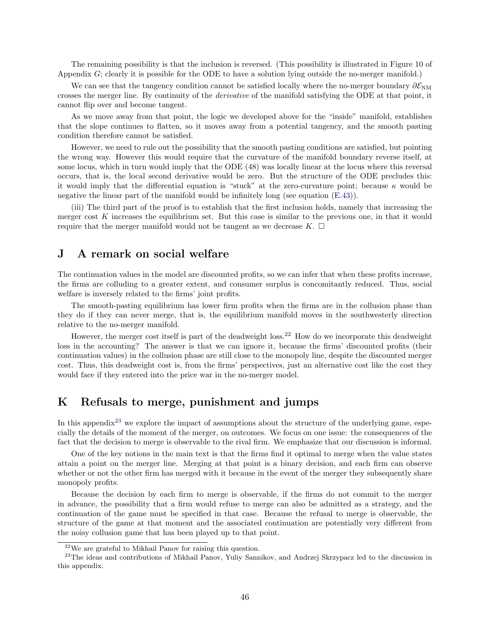The remaining possibility is that the inclusion is reversed. (This possibility is illustrated in Figure 10 of Appendix G; clearly it is possible for the ODE to have a solution lying outside the no-merger manifold.)

We can see that the tangency condition cannot be satisfied locally where the no-merger boundary  $\partial \mathcal{E}_{NM}$ crosses the merger line. By continuity of the derivative of the manifold satisfying the ODE at that point, it cannot flip over and become tangent.

As we move away from that point, the logic we developed above for the "inside" manifold, establishes that the slope continues to flatten, so it moves away from a potential tangency, and the smooth pasting condition therefore cannot be satisfied.

However, we need to rule out the possibility that the smooth pasting conditions are satisfied, but pointing the wrong way. However this would require that the curvature of the manifold boundary reverse itself, at some locus, which in turn would imply that the ODE (48) was locally linear at the locus where this reversal occurs, that is, the local second derivative would be zero. But the structure of the ODE precludes this: it would imply that the differential equation is "stuck" at the zero-curvature point; because  $\kappa$  would be negative the linear part of the manifold would be infinitely long (see equation [\(E.43\)](#page-40-1)).

(iii) The third part of the proof is to establish that the first inclusion holds, namely that increasing the merger cost K increases the equilibrium set. But this case is similar to the previous one, in that it would require that the merger manifold would not be tangent as we decrease  $K$ .  $\Box$ 

## J A remark on social welfare

The continuation values in the model are discounted profits, so we can infer that when these profits increase, the firms are colluding to a greater extent, and consumer surplus is concomitantly reduced. Thus, social welfare is inversely related to the firms' joint profits.

The smooth-pasting equilibrium has lower firm profits when the firms are in the collusion phase than they do if they can never merge, that is, the equilibrium manifold moves in the southwesterly direction relative to the no-merger manifold.

However, the merger cost itself is part of the deadweight loss.[22](#page-46-1) How do we incorporate this deadweight loss in the accounting? The answer is that we can ignore it, because the firms' discounted profits (their continuation values) in the collusion phase are still close to the monopoly line, despite the discounted merger cost. Thus, this deadweight cost is, from the firms' perspectives, just an alternative cost like the cost they would face if they entered into the price war in the no-merger model.

# <span id="page-46-0"></span>K Refusals to merge, punishment and jumps

In this appendix<sup>[23](#page-46-2)</sup> we explore the impact of assumptions about the structure of the underlying game, especially the details of the moment of the merger, on outcomes. We focus on one issue: the consequences of the fact that the decision to merge is observable to the rival firm. We emphasize that our discussion is informal.

One of the key notions in the main text is that the firms find it optimal to merge when the value states attain a point on the merger line. Merging at that point is a binary decision, and each firm can observe whether or not the other firm has merged with it because in the event of the merger they subsequently share monopoly profits.

Because the decision by each firm to merge is observable, if the firms do not commit to the merger in advance, the possibility that a firm would refuse to merge can also be admitted as a strategy, and the continuation of the game must be specified in that case. Because the refusal to merge is observable, the structure of the game at that moment and the associated continuation are potentially very different from the noisy collusion game that has been played up to that point.

<span id="page-46-2"></span><span id="page-46-1"></span> $22$ We are grateful to Mikhail Panov for raising this question.

<sup>&</sup>lt;sup>23</sup>The ideas and contributions of Mikhail Panov, Yuliy Sannikov, and Andrzej Skrzypacz led to the discussion in this appendix.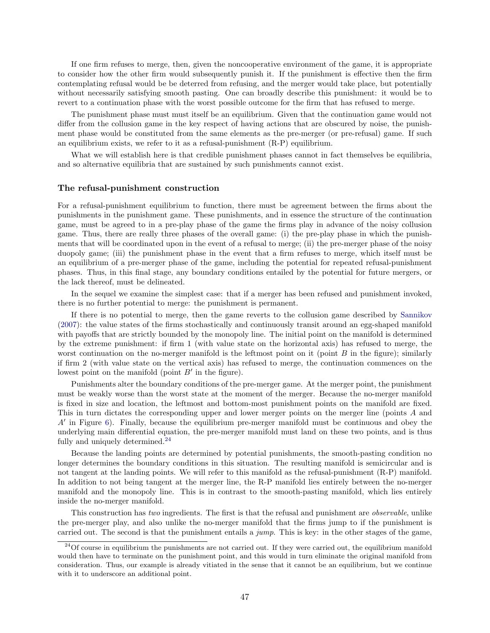If one firm refuses to merge, then, given the noncooperative environment of the game, it is appropriate to consider how the other firm would subsequently punish it. If the punishment is effective then the firm contemplating refusal would be be deterred from refusing, and the merger would take place, but potentially without necessarily satisfying smooth pasting. One can broadly describe this punishment: it would be to revert to a continuation phase with the worst possible outcome for the firm that has refused to merge.

The punishment phase must must itself be an equilibrium. Given that the continuation game would not differ from the collusion game in the key respect of having actions that are obscured by noise, the punishment phase would be constituted from the same elements as the pre-merger (or pre-refusal) game. If such an equilibrium exists, we refer to it as a refusal-punishment (R-P) equilibrium.

What we will establish here is that credible punishment phases cannot in fact themselves be equilibria, and so alternative equilibria that are sustained by such punishments cannot exist.

#### The refusal-punishment construction

For a refusal-punishment equilibrium to function, there must be agreement between the firms about the punishments in the punishment game. These punishments, and in essence the structure of the continuation game, must be agreed to in a pre-play phase of the game the firms play in advance of the noisy collusion game. Thus, there are really three phases of the overall game: (i) the pre-play phase in which the punishments that will be coordinated upon in the event of a refusal to merge; (ii) the pre-merger phase of the noisy duopoly game; (iii) the punishment phase in the event that a firm refuses to merge, which itself must be an equilibrium of a pre-merger phase of the game, including the potential for repeated refusal-punishment phases. Thus, in this final stage, any boundary conditions entailed by the potential for future mergers, or the lack thereof, must be delineated.

In the sequel we examine the simplest case: that if a merger has been refused and punishment invoked, there is no further potential to merge: the punishment is permanent.

If there is no potential to merge, then the game reverts to the collusion game described by [Sannikov](#page-31-0) [\(2007\)](#page-31-0): the value states of the firms stochastically and continuously transit around an egg-shaped manifold with payoffs that are strictly bounded by the monopoly line. The initial point on the manifold is determined by the extreme punishment: if firm 1 (with value state on the horizontal axis) has refused to merge, the worst continuation on the no-merger manifold is the leftmost point on it (point  $B$  in the figure); similarly if firm 2 (with value state on the vertical axis) has refused to merge, the continuation commences on the lowest point on the manifold (point  $B'$  in the figure).

Punishments alter the boundary conditions of the pre-merger game. At the merger point, the punishment must be weakly worse than the worst state at the moment of the merger. Because the no-merger manifold is fixed in size and location, the leftmost and bottom-most punishment points on the manifold are fixed. This in turn dictates the corresponding upper and lower merger points on the merger line (points A and  $A'$  in Figure [6\)](#page-48-0). Finally, because the equilibrium pre-merger manifold must be continuous and obey the underlying main differential equation, the pre-merger manifold must land on these two points, and is thus fully and uniquely determined.<sup>[24](#page-47-0)</sup>

Because the landing points are determined by potential punishments, the smooth-pasting condition no longer determines the boundary conditions in this situation. The resulting manifold is semicircular and is not tangent at the landing points. We will refer to this manifold as the refusal-punishment (R-P) manifold. In addition to not being tangent at the merger line, the R-P manifold lies entirely between the no-merger manifold and the monopoly line. This is in contrast to the smooth-pasting manifold, which lies entirely inside the no-merger manifold.

This construction has two ingredients. The first is that the refusal and punishment are *observable*, unlike the pre-merger play, and also unlike the no-merger manifold that the firms jump to if the punishment is carried out. The second is that the punishment entails a  $jump$ . This is key: in the other stages of the game,

<span id="page-47-0"></span> $^{24}$ Of course in equilibrium the punishments are not carried out. If they were carried out, the equilibrium manifold would then have to terminate on the punishment point, and this would in turn eliminate the original manifold from consideration. Thus, our example is already vitiated in the sense that it cannot be an equilibrium, but we continue with it to underscore an additional point.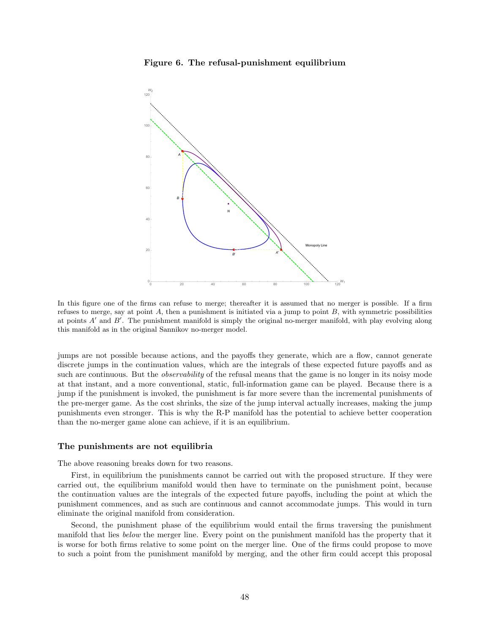<span id="page-48-0"></span>



In this figure one of the firms can refuse to merge; thereafter it is assumed that no merger is possible. If a firm refuses to merge, say at point  $A$ , then a punishment is initiated via a jump to point  $B$ , with symmetric possibilities at points  $A'$  and  $B'$ . The punishment manifold is simply the original no-merger manifold, with play evolving along this manifold as in the original Sannikov no-merger model.

jumps are not possible because actions, and the payoffs they generate, which are a flow, cannot generate discrete jumps in the continuation values, which are the integrals of these expected future payoffs and as such are continuous. But the *observability* of the refusal means that the game is no longer in its noisy mode at that instant, and a more conventional, static, full-information game can be played. Because there is a jump if the punishment is invoked, the punishment is far more severe than the incremental punishments of the pre-merger game. As the cost shrinks, the size of the jump interval actually increases, making the jump punishments even stronger. This is why the R-P manifold has the potential to achieve better cooperation than the no-merger game alone can achieve, if it is an equilibrium.

#### The punishments are not equilibria

The above reasoning breaks down for two reasons.

First, in equilibrium the punishments cannot be carried out with the proposed structure. If they were carried out, the equilibrium manifold would then have to terminate on the punishment point, because the continuation values are the integrals of the expected future payoffs, including the point at which the punishment commences, and as such are continuous and cannot accommodate jumps. This would in turn eliminate the original manifold from consideration.

Second, the punishment phase of the equilibrium would entail the firms traversing the punishment manifold that lies below the merger line. Every point on the punishment manifold has the property that it is worse for both firms relative to some point on the merger line. One of the firms could propose to move to such a point from the punishment manifold by merging, and the other firm could accept this proposal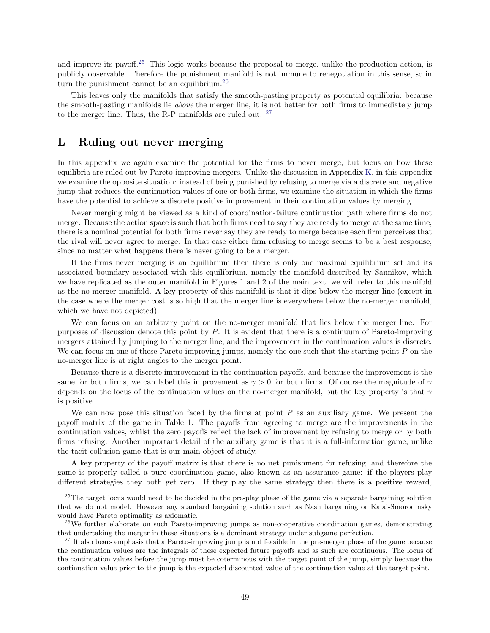and improve its payoff.<sup>[25](#page-49-1)</sup> This logic works because the proposal to merge, unlike the production action, is publicly observable. Therefore the punishment manifold is not immune to renegotiation in this sense, so in turn the punishment cannot be an equilibrium.<sup>[26](#page-49-2)</sup>

This leaves only the manifolds that satisfy the smooth-pasting property as potential equilibria: because the smooth-pasting manifolds lie above the merger line, it is not better for both firms to immediately jump to the merger line. Thus, the R-P manifolds are ruled out. [27](#page-49-3)

## <span id="page-49-0"></span>L Ruling out never merging

In this appendix we again examine the potential for the firms to never merge, but focus on how these equilibria are ruled out by Pareto-improving mergers. Unlike the discussion in Appendix [K,](#page-46-0) in this appendix we examine the opposite situation: instead of being punished by refusing to merge via a discrete and negative jump that reduces the continuation values of one or both firms, we examine the situation in which the firms have the potential to achieve a discrete positive improvement in their continuation values by merging.

Never merging might be viewed as a kind of coordination-failure continuation path where firms do not merge. Because the action space is such that both firms need to say they are ready to merge at the same time, there is a nominal potential for both firms never say they are ready to merge because each firm perceives that the rival will never agree to merge. In that case either firm refusing to merge seems to be a best response, since no matter what happens there is never going to be a merger.

If the firms never merging is an equilibrium then there is only one maximal equilibrium set and its associated boundary associated with this equilibrium, namely the manifold described by Sannikov, which we have replicated as the outer manifold in Figures 1 and 2 of the main text; we will refer to this manifold as the no-merger manifold. A key property of this manifold is that it dips below the merger line (except in the case where the merger cost is so high that the merger line is everywhere below the no-merger manifold, which we have not depicted).

We can focus on an arbitrary point on the no-merger manifold that lies below the merger line. For purposes of discussion denote this point by P. It is evident that there is a continuum of Pareto-improving mergers attained by jumping to the merger line, and the improvement in the continuation values is discrete. We can focus on one of these Pareto-improving jumps, namely the one such that the starting point  $P$  on the no-merger line is at right angles to the merger point.

Because there is a discrete improvement in the continuation payoffs, and because the improvement is the same for both firms, we can label this improvement as  $\gamma > 0$  for both firms. Of course the magnitude of  $\gamma$ depends on the locus of the continuation values on the no-merger manifold, but the key property is that  $\gamma$ is positive.

We can now pose this situation faced by the firms at point  $P$  as an auxiliary game. We present the payoff matrix of the game in Table 1. The payoffs from agreeing to merge are the improvements in the continuation values, whilst the zero payoffs reflect the lack of improvement by refusing to merge or by both firms refusing. Another important detail of the auxiliary game is that it is a full-information game, unlike the tacit-collusion game that is our main object of study.

A key property of the payoff matrix is that there is no net punishment for refusing, and therefore the game is properly called a pure coordination game, also known as an assurance game: if the players play different strategies they both get zero. If they play the same strategy then there is a positive reward,

<span id="page-49-1"></span><sup>&</sup>lt;sup>25</sup>The target locus would need to be decided in the pre-play phase of the game via a separate bargaining solution that we do not model. However any standard bargaining solution such as Nash bargaining or Kalai-Smorodinsky would have Pareto optimality as axiomatic.

<span id="page-49-2"></span> $26$ We further elaborate on such Pareto-improving jumps as non-cooperative coordination games, demonstrating that undertaking the merger in these situations is a dominant strategy under subgame perfection.

<span id="page-49-3"></span><sup>&</sup>lt;sup>27</sup> It also bears emphasis that a Pareto-improving jump is not feasible in the pre-merger phase of the game because the continuation values are the integrals of these expected future payoffs and as such are continuous. The locus of the continuation values before the jump must be coterminous with the target point of the jump, simply because the continuation value prior to the jump is the expected discounted value of the continuation value at the target point.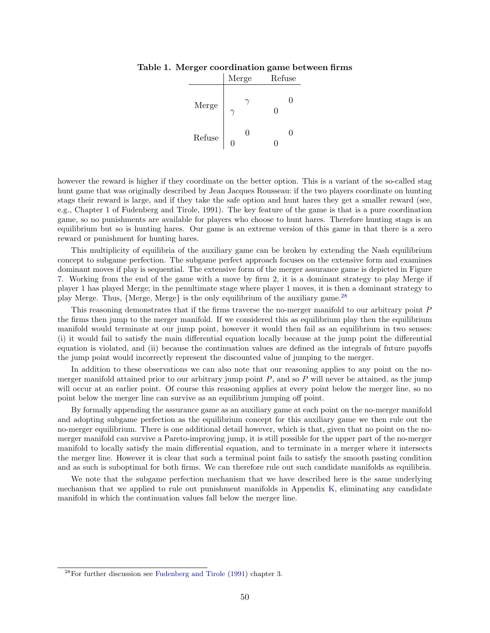|        | Merge  | Refuse |
|--------|--------|--------|
| Merge  |        | 0      |
| Refuse | 0<br>⋂ |        |

#### Table 1. Merger coordination game between firms

however the reward is higher if they coordinate on the better option. This is a variant of the so-called stag hunt game that was originally described by Jean Jacques Rousseau: if the two players coordinate on hunting stags their reward is large, and if they take the safe option and hunt hares they get a smaller reward (see, e.g., Chapter 1 of Fudenberg and Tirole, 1991). The key feature of the game is that is a pure coordination game, so no punishments are available for players who choose to hunt hares. Therefore hunting stags is an equilibrium but so is hunting hares. Our game is an extreme version of this game in that there is a zero reward or punishment for hunting hares.

This multiplicity of equilibria of the auxiliary game can be broken by extending the Nash equilibrium concept to subgame perfection. The subgame perfect approach focuses on the extensive form and examines dominant moves if play is sequential. The extensive form of the merger assurance game is depicted in Figure [7.](#page-51-0) Working from the end of the game with a move by firm 2, it is a dominant strategy to play Merge if player 1 has played Merge; in the penultimate stage where player 1 moves, it is then a dominant strategy to play Merge. Thus, {Merge, Merge} is the only equilibrium of the auxiliary game.[28](#page-50-0)

This reasoning demonstrates that if the firms traverse the no-merger manifold to our arbitrary point P the firms then jump to the merger manifold. If we considered this as equilibrium play then the equilibrium manifold would terminate at our jump point, however it would then fail as an equilibrium in two senses: (i) it would fail to satisfy the main differential equation locally because at the jump point the differential equation is violated, and (ii) because the continuation values are defined as the integrals of future payoffs the jump point would incorrectly represent the discounted value of jumping to the merger.

In addition to these observations we can also note that our reasoning applies to any point on the nomerger manifold attained prior to our arbitrary jump point  $P$ , and so  $P$  will never be attained, as the jump will occur at an earlier point. Of course this reasoning applies at every point below the merger line, so no point below the merger line can survive as an equilibrium jumping off point.

By formally appending the assurance game as an auxiliary game at each point on the no-merger manifold and adopting subgame perfection as the equilibrium concept for this auxiliary game we then rule out the no-merger equilibrium. There is one additional detail however, which is that, given that no point on the nomerger manifold can survive a Pareto-improving jump, it is still possible for the upper part of the no-merger manifold to locally satisfy the main differential equation, and to terminate in a merger where it intersects the merger line. However it is clear that such a terminal point fails to satisfy the smooth pasting condition and as such is suboptimal for both firms. We can therefore rule out such candidate manifolds as equilibria.

We note that the subgame perfection mechanism that we have described here is the same underlying mechanism that we applied to rule out punishment manifolds in Appendix [K,](#page-46-0) eliminating any candidate manifold in which the continuation values fall below the merger line.

<span id="page-50-0"></span> $^{28}$ For further discussion see [Fudenberg and Tirole](#page-31-13) [\(1991\)](#page-31-13) chapter 3.